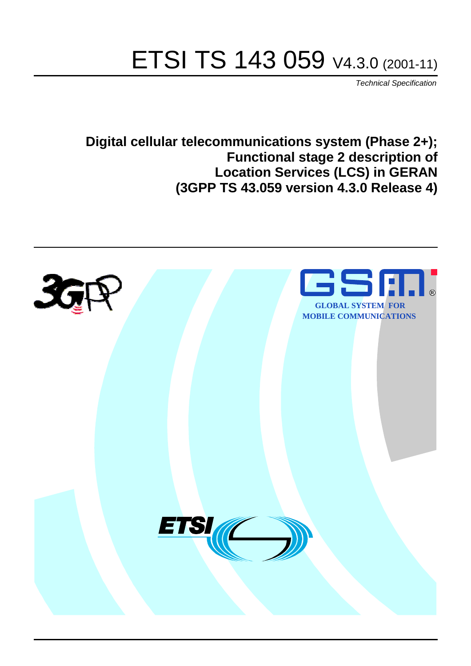# ETSI TS 143 059 V4.3.0 (2001-11)

Technical Specification

**Digital cellular telecommunications system (Phase 2+); Functional stage 2 description of Location Services (LCS) in GERAN (3GPP TS 43.059 version 4.3.0 Release 4)**

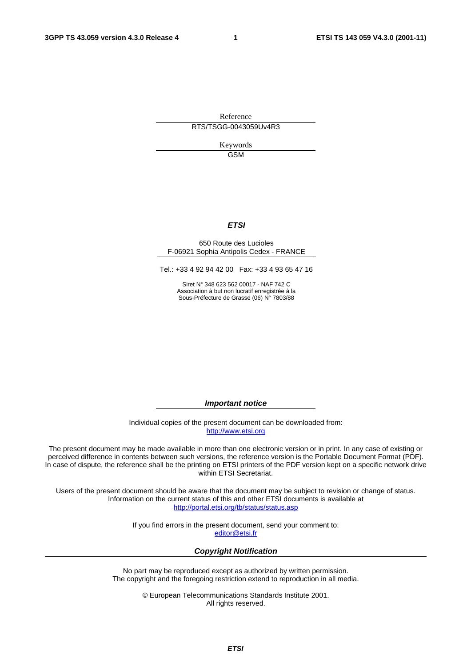Reference RTS/TSGG-0043059Uv4R3

> Keywords GSM

#### **ETSI**

#### 650 Route des Lucioles F-06921 Sophia Antipolis Cedex - FRANCE

Tel.: +33 4 92 94 42 00 Fax: +33 4 93 65 47 16

Siret N° 348 623 562 00017 - NAF 742 C Association à but non lucratif enregistrée à la Sous-Préfecture de Grasse (06) N° 7803/88

**Important notice** 

Individual copies of the present document can be downloaded from: [http://www.etsi.org](http://www.etsi.org/)

The present document may be made available in more than one electronic version or in print. In any case of existing or perceived difference in contents between such versions, the reference version is the Portable Document Format (PDF). In case of dispute, the reference shall be the printing on ETSI printers of the PDF version kept on a specific network drive within ETSI Secretariat.

Users of the present document should be aware that the document may be subject to revision or change of status. Information on the current status of this and other ETSI documents is available at <http://portal.etsi.org/tb/status/status.asp>

> If you find errors in the present document, send your comment to: [editor@etsi.fr](mailto:editor@etsi.fr)

#### **Copyright Notification**

No part may be reproduced except as authorized by written permission. The copyright and the foregoing restriction extend to reproduction in all media.

> © European Telecommunications Standards Institute 2001. All rights reserved.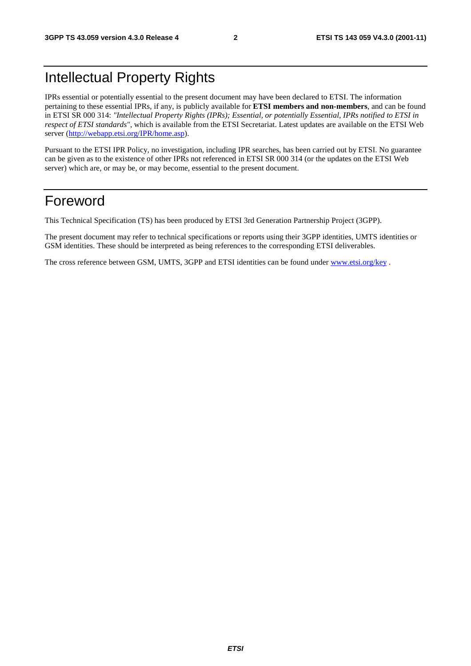## Intellectual Property Rights

IPRs essential or potentially essential to the present document may have been declared to ETSI. The information pertaining to these essential IPRs, if any, is publicly available for **ETSI members and non-members**, and can be found in ETSI SR 000 314: *"Intellectual Property Rights (IPRs); Essential, or potentially Essential, IPRs notified to ETSI in respect of ETSI standards"*, which is available from the ETSI Secretariat. Latest updates are available on the ETSI Web server ([http://webapp.etsi.org/IPR/home.asp\)](http://webapp.etsi.org/IPR/home.asp).

Pursuant to the ETSI IPR Policy, no investigation, including IPR searches, has been carried out by ETSI. No guarantee can be given as to the existence of other IPRs not referenced in ETSI SR 000 314 (or the updates on the ETSI Web server) which are, or may be, or may become, essential to the present document.

## Foreword

This Technical Specification (TS) has been produced by ETSI 3rd Generation Partnership Project (3GPP).

The present document may refer to technical specifications or reports using their 3GPP identities, UMTS identities or GSM identities. These should be interpreted as being references to the corresponding ETSI deliverables.

The cross reference between GSM, UMTS, 3GPP and ETSI identities can be found under [www.etsi.org/key](http://www.etsi.org/key) .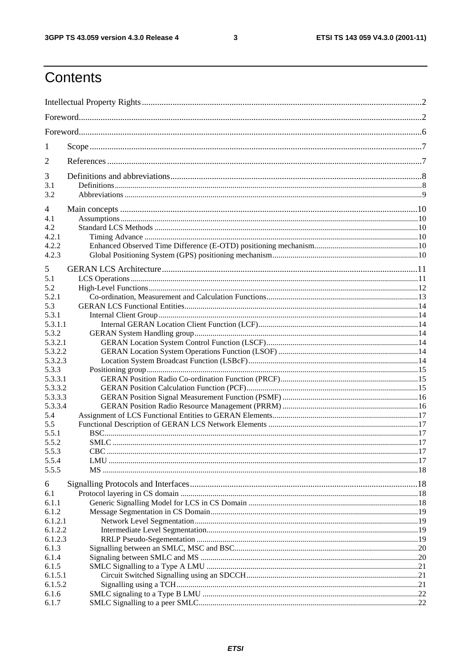#### $\mathbf{3}$

## Contents

| 1       |  |  |  |  |  |  |
|---------|--|--|--|--|--|--|
| 2       |  |  |  |  |  |  |
| 3       |  |  |  |  |  |  |
| 3.1     |  |  |  |  |  |  |
| 3.2     |  |  |  |  |  |  |
| 4       |  |  |  |  |  |  |
| 4.1     |  |  |  |  |  |  |
| 4.2     |  |  |  |  |  |  |
| 4.2.1   |  |  |  |  |  |  |
| 4.2.2   |  |  |  |  |  |  |
| 4.2.3   |  |  |  |  |  |  |
| 5       |  |  |  |  |  |  |
| 5.1     |  |  |  |  |  |  |
| 5.2     |  |  |  |  |  |  |
| 5.2.1   |  |  |  |  |  |  |
| 5.3     |  |  |  |  |  |  |
| 5.3.1   |  |  |  |  |  |  |
| 5.3.1.1 |  |  |  |  |  |  |
| 5.3.2   |  |  |  |  |  |  |
| 5.3.2.1 |  |  |  |  |  |  |
| 5.3.2.2 |  |  |  |  |  |  |
| 5.3.2.3 |  |  |  |  |  |  |
| 5.3.3   |  |  |  |  |  |  |
| 5.3.3.1 |  |  |  |  |  |  |
| 5.3.3.2 |  |  |  |  |  |  |
| 5.3.3.3 |  |  |  |  |  |  |
| 5.3.3.4 |  |  |  |  |  |  |
| 5.4     |  |  |  |  |  |  |
| 5.5     |  |  |  |  |  |  |
| 5.5.1   |  |  |  |  |  |  |
| 5.5.2   |  |  |  |  |  |  |
| 5.5.3   |  |  |  |  |  |  |
| 5.5.4   |  |  |  |  |  |  |
| 5.5.5   |  |  |  |  |  |  |
| 6       |  |  |  |  |  |  |
| 6.1     |  |  |  |  |  |  |
| 6.1.1   |  |  |  |  |  |  |
| 6.1.2   |  |  |  |  |  |  |
| 6.1.2.1 |  |  |  |  |  |  |
| 6.1.2.2 |  |  |  |  |  |  |
| 6.1.2.3 |  |  |  |  |  |  |
| 6.1.3   |  |  |  |  |  |  |
| 6.1.4   |  |  |  |  |  |  |
| 6.1.5   |  |  |  |  |  |  |
| 6.1.5.1 |  |  |  |  |  |  |
| 6.1.5.2 |  |  |  |  |  |  |
| 6.1.6   |  |  |  |  |  |  |
| 6.1.7   |  |  |  |  |  |  |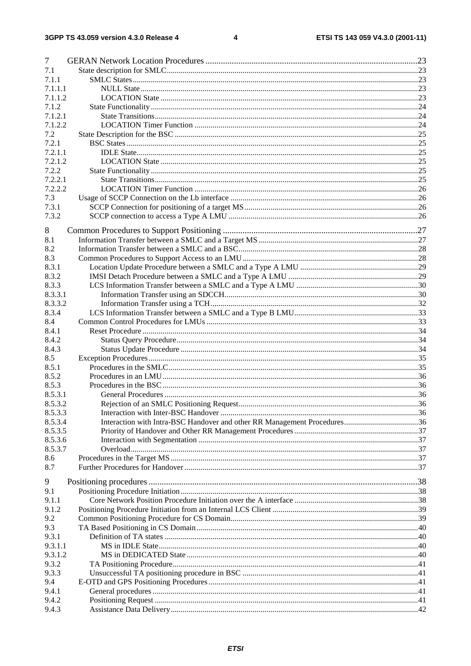#### $\overline{\mathbf{4}}$

| 7       |  |
|---------|--|
| 7.1     |  |
| 7.1.1   |  |
| 7.1.1.1 |  |
| 7.1.1.2 |  |
| 7.1.2   |  |
| 7.1.2.1 |  |
| 7.1.2.2 |  |
| 7.2     |  |
| 7.2.1   |  |
| 7.2.1.1 |  |
| 7.2.1.2 |  |
| 7.2.2   |  |
| 7.2.2.1 |  |
| 7.2.2.2 |  |
| 7.3     |  |
| 7.3.1   |  |
| 7.3.2   |  |
| 8       |  |
| 8.1     |  |
| 8.2     |  |
| 8.3     |  |
| 8.3.1   |  |
| 8.3.2   |  |
| 8.3.3   |  |
| 8.3.3.1 |  |
| 8.3.3.2 |  |
| 8.3.4   |  |
| 8.4     |  |
| 8.4.1   |  |
| 8.4.2   |  |
| 8.4.3   |  |
| 8.5     |  |
| 8.5.1   |  |
| 8.5.2   |  |
| 8.5.3   |  |
| 8.5.3.1 |  |
| 8.5.3.2 |  |
| 8.5.3.3 |  |
| 8.5.3.4 |  |
| 8.5.3.5 |  |
| 8.5.3.6 |  |
| 8.5.3.7 |  |
| 8.6     |  |
| 8.7     |  |
| 9       |  |
| 9.1     |  |
| 9.1.1   |  |
| 9.1.2   |  |
| 9.2     |  |
| 9.3     |  |
| 9.3.1   |  |
| 9.3.1.1 |  |
| 9.3.1.2 |  |
| 9.3.2   |  |
| 9.3.3   |  |
| 9.4     |  |
| 9.4.1   |  |
| 9.4.2   |  |
| 9.4.3   |  |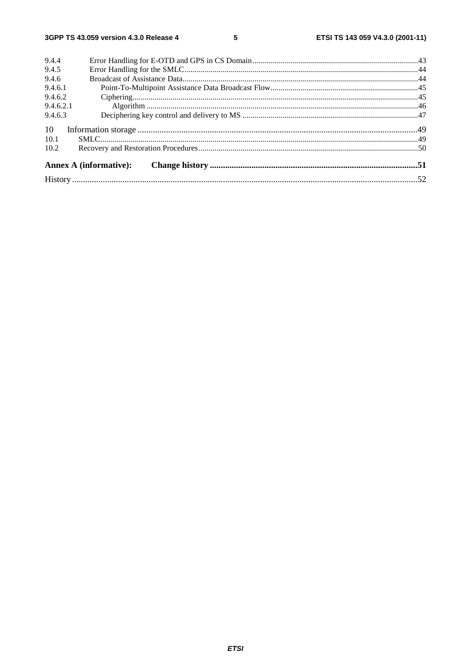| 9.4.4     |                               |  |  |  |  |  |
|-----------|-------------------------------|--|--|--|--|--|
| 9.4.5     |                               |  |  |  |  |  |
| 9.4.6     |                               |  |  |  |  |  |
| 9.4.6.1   |                               |  |  |  |  |  |
| 9.4.6.2   |                               |  |  |  |  |  |
| 9.4.6.2.1 |                               |  |  |  |  |  |
| 9.4.6.3   |                               |  |  |  |  |  |
| 10        |                               |  |  |  |  |  |
| 10.1      |                               |  |  |  |  |  |
| 10.2      |                               |  |  |  |  |  |
|           | <b>Annex A (informative):</b> |  |  |  |  |  |
|           |                               |  |  |  |  |  |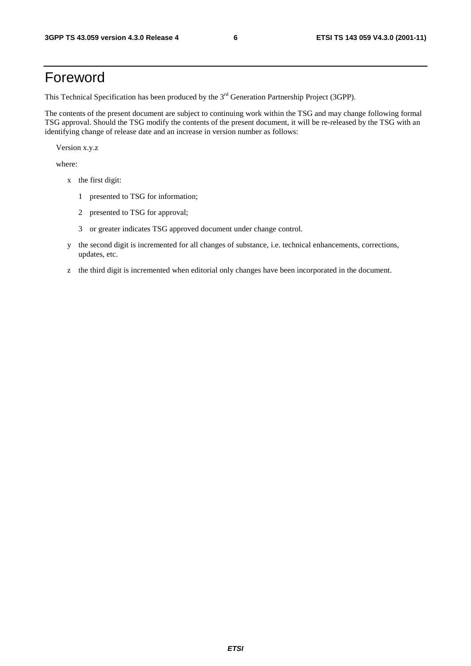## Foreword

This Technical Specification has been produced by the 3<sup>rd</sup> Generation Partnership Project (3GPP).

The contents of the present document are subject to continuing work within the TSG and may change following formal TSG approval. Should the TSG modify the contents of the present document, it will be re-released by the TSG with an identifying change of release date and an increase in version number as follows:

Version x.y.z

where:

- x the first digit:
	- 1 presented to TSG for information;
	- 2 presented to TSG for approval;
	- 3 or greater indicates TSG approved document under change control.
- y the second digit is incremented for all changes of substance, i.e. technical enhancements, corrections, updates, etc.
- z the third digit is incremented when editorial only changes have been incorporated in the document.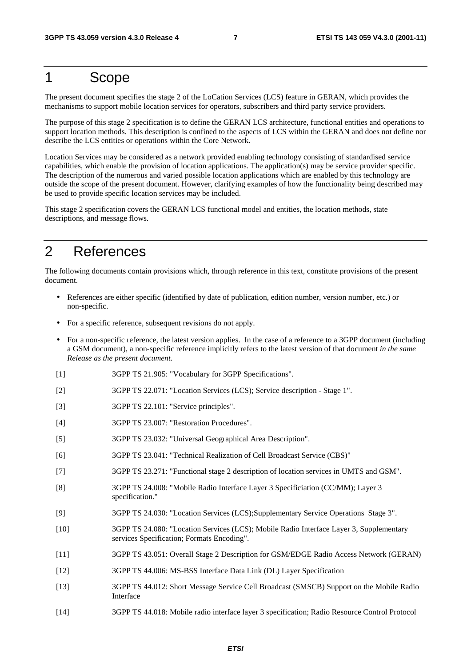## 1 Scope

The present document specifies the stage 2 of the LoCation Services (LCS) feature in GERAN, which provides the mechanisms to support mobile location services for operators, subscribers and third party service providers.

The purpose of this stage 2 specification is to define the GERAN LCS architecture, functional entities and operations to support location methods. This description is confined to the aspects of LCS within the GERAN and does not define nor describe the LCS entities or operations within the Core Network.

Location Services may be considered as a network provided enabling technology consisting of standardised service capabilities, which enable the provision of location applications. The application(s) may be service provider specific. The description of the numerous and varied possible location applications which are enabled by this technology are outside the scope of the present document. However, clarifying examples of how the functionality being described may be used to provide specific location services may be included.

This stage 2 specification covers the GERAN LCS functional model and entities, the location methods, state descriptions, and message flows.

## 2 References

The following documents contain provisions which, through reference in this text, constitute provisions of the present document.

- References are either specific (identified by date of publication, edition number, version number, etc.) or non-specific.
- For a specific reference, subsequent revisions do not apply.
- For a non-specific reference, the latest version applies. In the case of a reference to a 3GPP document (including a GSM document), a non-specific reference implicitly refers to the latest version of that document *in the same Release as the present document*.
- [1] 3GPP TS 21.905: "Vocabulary for 3GPP Specifications".
- [2] 3GPP TS 22.071: "Location Services (LCS); Service description Stage 1".
- [3] 3GPP TS 22.101: "Service principles".
- [4] 3GPP TS 23.007: "Restoration Procedures".
- [5] 3GPP TS 23.032: "Universal Geographical Area Description".
- [6] 3GPP TS 23.041: "Technical Realization of Cell Broadcast Service (CBS)"
- [7] 3GPP TS 23.271: "Functional stage 2 description of location services in UMTS and GSM".
- [8] 3GPP TS 24.008: "Mobile Radio Interface Layer 3 Specificiation (CC/MM); Layer 3 specification."
- [9] 3GPP TS 24.030: "Location Services (LCS);Supplementary Service Operations Stage 3".
- [10] 3GPP TS 24.080: "Location Services (LCS); Mobile Radio Interface Layer 3, Supplementary services Specification; Formats Encoding".
- [11] 3GPP TS 43.051: Overall Stage 2 Description for GSM/EDGE Radio Access Network (GERAN)
- [12] 3GPP TS 44.006: MS-BSS Interface Data Link (DL) Layer Specification
- [13] 3GPP TS 44.012: Short Message Service Cell Broadcast (SMSCB) Support on the Mobile Radio Interface
- [14] 3GPP TS 44.018: Mobile radio interface layer 3 specification; Radio Resource Control Protocol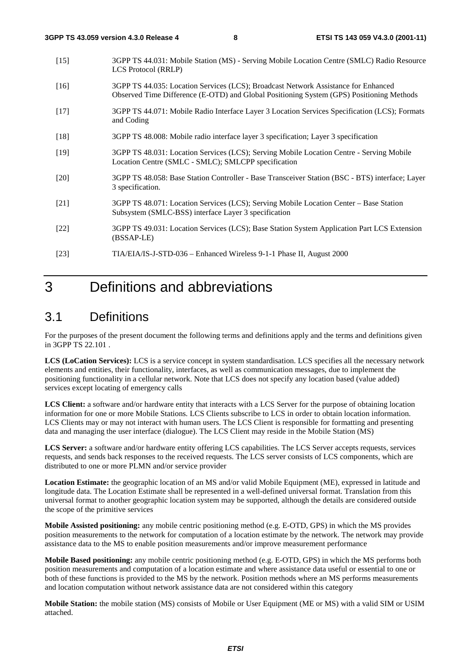- [15] 3GPP TS 44.031: Mobile Station (MS) Serving Mobile Location Centre (SMLC) Radio Resource LCS Protocol (RRLP)
- [16] 3GPP TS 44.035: Location Services (LCS); Broadcast Network Assistance for Enhanced Observed Time Difference (E-OTD) and Global Positioning System (GPS) Positioning Methods
- [17] 3GPP TS 44.071: Mobile Radio Interface Layer 3 Location Services Specification (LCS); Formats and Coding
- [18] 3GPP TS 48.008: Mobile radio interface layer 3 specification; Layer 3 specification
- [19] 3GPP TS 48.031: Location Services (LCS); Serving Mobile Location Centre Serving Mobile Location Centre (SMLC - SMLC); SMLCPP specification
- [20] 3GPP TS 48.058: Base Station Controller Base Transceiver Station (BSC BTS) interface; Layer 3 specification.
- [21] 3GPP TS 48.071: Location Services (LCS); Serving Mobile Location Center Base Station Subsystem (SMLC-BSS) interface Layer 3 specification
- [22] 3GPP TS 49.031: Location Services (LCS); Base Station System Application Part LCS Extension (BSSAP-LE)
- [23] TIA/EIA/IS-J-STD-036 Enhanced Wireless 9-1-1 Phase II, August 2000

## 3 Definitions and abbreviations

### 3.1 Definitions

For the purposes of the present document the following terms and definitions apply and the terms and definitions given in 3GPP TS 22.101 .

**LCS (LoCation Services):** LCS is a service concept in system standardisation. LCS specifies all the necessary network elements and entities, their functionality, interfaces, as well as communication messages, due to implement the positioning functionality in a cellular network. Note that LCS does not specify any location based (value added) services except locating of emergency calls

LCS Client: a software and/or hardware entity that interacts with a LCS Server for the purpose of obtaining location information for one or more Mobile Stations. LCS Clients subscribe to LCS in order to obtain location information. LCS Clients may or may not interact with human users. The LCS Client is responsible for formatting and presenting data and managing the user interface (dialogue). The LCS Client may reside in the Mobile Station (MS)

**LCS Server:** a software and/or hardware entity offering LCS capabilities. The LCS Server accepts requests, services requests, and sends back responses to the received requests. The LCS server consists of LCS components, which are distributed to one or more PLMN and/or service provider

**Location Estimate:** the geographic location of an MS and/or valid Mobile Equipment (ME), expressed in latitude and longitude data. The Location Estimate shall be represented in a well-defined universal format. Translation from this universal format to another geographic location system may be supported, although the details are considered outside the scope of the primitive services

**Mobile Assisted positioning:** any mobile centric positioning method (e.g. E-OTD, GPS) in which the MS provides position measurements to the network for computation of a location estimate by the network. The network may provide assistance data to the MS to enable position measurements and/or improve measurement performance

**Mobile Based positioning:** any mobile centric positioning method (e.g. E-OTD, GPS) in which the MS performs both position measurements and computation of a location estimate and where assistance data useful or essential to one or both of these functions is provided to the MS by the network. Position methods where an MS performs measurements and location computation without network assistance data are not considered within this category

**Mobile Station:** the mobile station (MS) consists of Mobile or User Equipment (ME or MS) with a valid SIM or USIM attached.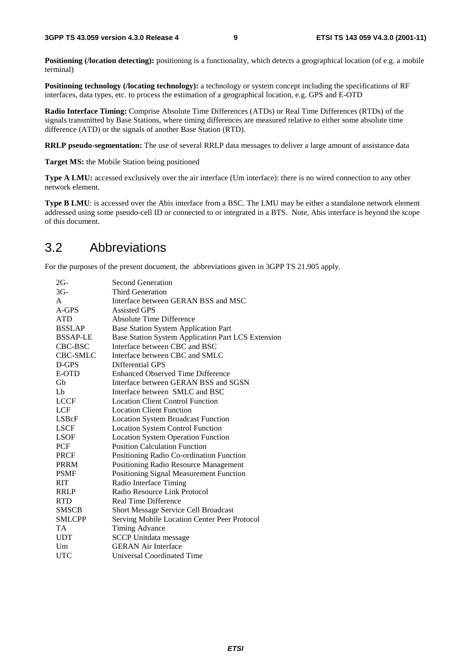**Positioning (***location detecting*): positioning is a functionality, which detects a geographical location (of e.g. a mobile terminal)

**Positioning technology (/locating technology):** a technology or system concept including the specifications of RF interfaces, data types, etc. to process the estimation of a geographical location, e.g. GPS and E-OTD

**Radio Interface Timing:** Comprise Absolute Time Differences (ATDs) or Real Time Differences (RTDs) of the signals transmitted by Base Stations, where timing differences are measured relative to either some absolute time difference (ATD) or the signals of another Base Station (RTD).

**RRLP pseudo-segmentation:** The use of several RRLP data messages to deliver a large amount of assistance data

**Target MS:** the Mobile Station being positioned

**Type A LMU:** accessed exclusively over the air interface (Um interface): there is no wired connection to any other network element.

**Type B LMU**: is accessed over the Abis interface from a BSC. The LMU may be either a standalone network element addressed using some pseudo-cell ID or connected to or integrated in a BTS. Note, Abis interface is beyond the scope of this document.

### 3.2 Abbreviations

For the purposes of the present document, the abbreviations given in 3GPP TS 21.905 apply.

| 2G-             | <b>Second Generation</b>                           |
|-----------------|----------------------------------------------------|
| $3G-$           | Third Generation                                   |
| A               | Interface between GERAN BSS and MSC                |
| A-GPS           | <b>Assisted GPS</b>                                |
| <b>ATD</b>      | <b>Absolute Time Difference</b>                    |
| <b>BSSLAP</b>   | <b>Base Station System Application Part</b>        |
| <b>BSSAP-LE</b> | Base Station System Application Part LCS Extension |
| CBC-BSC         | Interface between CBC and BSC                      |
| CBC-SMLC        | Interface between CBC and SMLC                     |
| D-GPS           | Differential GPS                                   |
| E-OTD           | Enhanced Observed Time Difference                  |
| Gb              | Interface between GERAN BSS and SGSN               |
| Lb              | Interface between SMLC and BSC                     |
| <b>LCCF</b>     | <b>Location Client Control Function</b>            |
| <b>LCF</b>      | <b>Location Client Function</b>                    |
| LSBcF           | <b>Location System Broadcast Function</b>          |
| <b>LSCF</b>     | <b>Location System Control Function</b>            |
| LSOF            | <b>Location System Operation Function</b>          |
| PCF             | <b>Position Calculation Function</b>               |
| <b>PRCF</b>     | Positioning Radio Co-ordination Function           |
| PRRM            | Positioning Radio Resource Management              |
| <b>PSMF</b>     | Positioning Signal Measurement Function            |
| RIT             | Radio Interface Timing                             |
| <b>RRLP</b>     | Radio Resource Link Protocol                       |
| <b>RTD</b>      | Real Time Difference                               |
| <b>SMSCB</b>    | <b>Short Message Service Cell Broadcast</b>        |
| <b>SMLCPP</b>   | Serving Mobile Location Center Peer Protocol       |
| TA              | <b>Timing Advance</b>                              |
| <b>UDT</b>      | <b>SCCP</b> Unitdata message                       |
| Um              | <b>GERAN Air Interface</b>                         |
| UTC             | Universal Coordinated Time                         |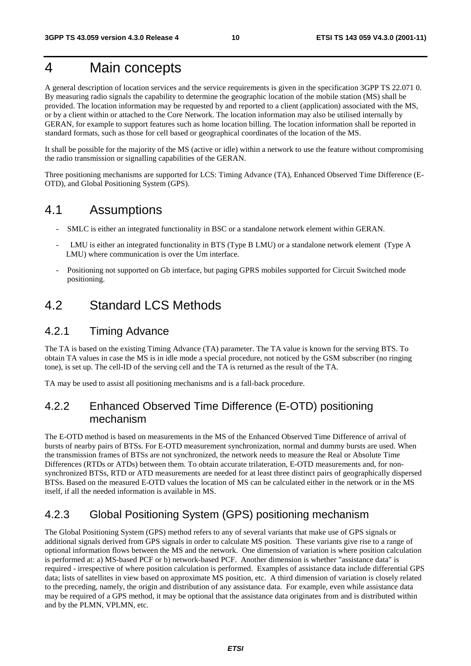## 4 Main concepts

A general description of location services and the service requirements is given in the specification 3GPP TS 22.071 0. By measuring radio signals the capability to determine the geographic location of the mobile station (MS) shall be provided. The location information may be requested by and reported to a client (application) associated with the MS, or by a client within or attached to the Core Network. The location information may also be utilised internally by GERAN, for example to support features such as home location billing. The location information shall be reported in standard formats, such as those for cell based or geographical coordinates of the location of the MS.

It shall be possible for the majority of the MS (active or idle) within a network to use the feature without compromising the radio transmission or signalling capabilities of the GERAN.

Three positioning mechanisms are supported for LCS: Timing Advance (TA), Enhanced Observed Time Difference (E-OTD), and Global Positioning System (GPS).

### 4.1 Assumptions

- SMLC is either an integrated functionality in BSC or a standalone network element within GERAN.
- LMU is either an integrated functionality in BTS (Type B LMU) or a standalone network element (Type A LMU) where communication is over the Um interface.
- Positioning not supported on Gb interface, but paging GPRS mobiles supported for Circuit Switched mode positioning.

## 4.2 Standard LCS Methods

### 4.2.1 Timing Advance

The TA is based on the existing Timing Advance (TA) parameter. The TA value is known for the serving BTS. To obtain TA values in case the MS is in idle mode a special procedure, not noticed by the GSM subscriber (no ringing tone), is set up. The cell-ID of the serving cell and the TA is returned as the result of the TA.

TA may be used to assist all positioning mechanisms and is a fall-back procedure.

### 4.2.2 Enhanced Observed Time Difference (E-OTD) positioning mechanism

The E-OTD method is based on measurements in the MS of the Enhanced Observed Time Difference of arrival of bursts of nearby pairs of BTSs. For E-OTD measurement synchronization, normal and dummy bursts are used. When the transmission frames of BTSs are not synchronized, the network needs to measure the Real or Absolute Time Differences (RTDs or ATDs) between them. To obtain accurate trilateration, E-OTD measurements and, for nonsynchronized BTSs, RTD or ATD measurements are needed for at least three distinct pairs of geographically dispersed BTSs. Based on the measured E-OTD values the location of MS can be calculated either in the network or in the MS itself, if all the needed information is available in MS.

### 4.2.3 Global Positioning System (GPS) positioning mechanism

The Global Positioning System (GPS) method refers to any of several variants that make use of GPS signals or additional signals derived from GPS signals in order to calculate MS position. These variants give rise to a range of optional information flows between the MS and the network. One dimension of variation is where position calculation is performed at: a) MS-based PCF or b) network-based PCF. Another dimension is whether "assistance data" is required - irrespective of where position calculation is performed. Examples of assistance data include differential GPS data; lists of satellites in view based on approximate MS position, etc. A third dimension of variation is closely related to the preceding, namely, the origin and distribution of any assistance data. For example, even while assistance data may be required of a GPS method, it may be optional that the assistance data originates from and is distributed within and by the PLMN, VPLMN, etc.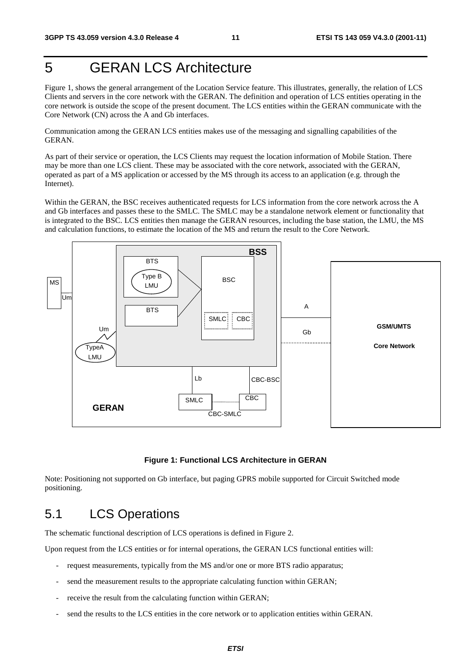## 5 GERAN LCS Architecture

Figure 1, shows the general arrangement of the Location Service feature. This illustrates, generally, the relation of LCS Clients and servers in the core network with the GERAN. The definition and operation of LCS entities operating in the core network is outside the scope of the present document. The LCS entities within the GERAN communicate with the Core Network (CN) across the A and Gb interfaces.

Communication among the GERAN LCS entities makes use of the messaging and signalling capabilities of the GERAN.

As part of their service or operation, the LCS Clients may request the location information of Mobile Station. There may be more than one LCS client. These may be associated with the core network, associated with the GERAN, operated as part of a MS application or accessed by the MS through its access to an application (e.g. through the Internet).

Within the GERAN, the BSC receives authenticated requests for LCS information from the core network across the A and Gb interfaces and passes these to the SMLC. The SMLC may be a standalone network element or functionality that is integrated to the BSC. LCS entities then manage the GERAN resources, including the base station, the LMU, the MS and calculation functions, to estimate the location of the MS and return the result to the Core Network.



#### **Figure 1: Functional LCS Architecture in GERAN**

Note: Positioning not supported on Gb interface, but paging GPRS mobile supported for Circuit Switched mode positioning.

## 5.1 LCS Operations

The schematic functional description of LCS operations is defined in Figure 2.

Upon request from the LCS entities or for internal operations, the GERAN LCS functional entities will:

- request measurements, typically from the MS and/or one or more BTS radio apparatus;
- send the measurement results to the appropriate calculating function within GERAN;
- receive the result from the calculating function within GERAN;
- send the results to the LCS entities in the core network or to application entities within GERAN.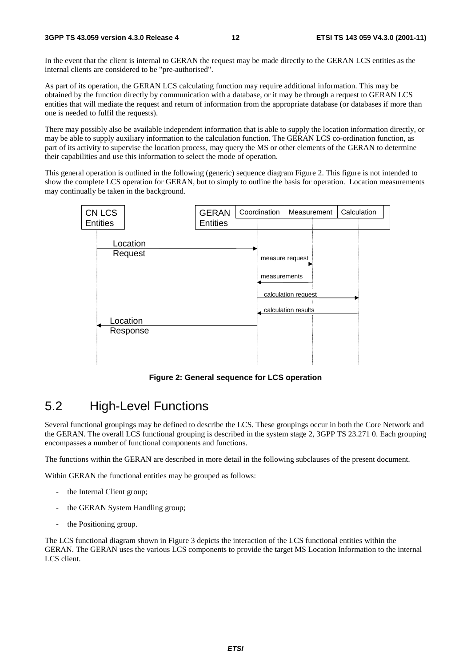In the event that the client is internal to GERAN the request may be made directly to the GERAN LCS entities as the internal clients are considered to be "pre-authorised".

As part of its operation, the GERAN LCS calculating function may require additional information. This may be obtained by the function directly by communication with a database, or it may be through a request to GERAN LCS entities that will mediate the request and return of information from the appropriate database (or databases if more than one is needed to fulfil the requests).

There may possibly also be available independent information that is able to supply the location information directly, or may be able to supply auxiliary information to the calculation function. The GERAN LCS co-ordination function, as part of its activity to supervise the location process, may query the MS or other elements of the GERAN to determine their capabilities and use this information to select the mode of operation.

This general operation is outlined in the following (generic) sequence diagram Figure 2. This figure is not intended to show the complete LCS operation for GERAN, but to simply to outline the basis for operation. Location measurements may continually be taken in the background.



**Figure 2: General sequence for LCS operation**

### 5.2 High-Level Functions

Several functional groupings may be defined to describe the LCS. These groupings occur in both the Core Network and the GERAN. The overall LCS functional grouping is described in the system stage 2, 3GPP TS 23.271 0. Each grouping encompasses a number of functional components and functions.

The functions within the GERAN are described in more detail in the following subclauses of the present document.

Within GERAN the functional entities may be grouped as follows:

- the Internal Client group;
- the GERAN System Handling group;
- the Positioning group.

The LCS functional diagram shown in Figure 3 depicts the interaction of the LCS functional entities within the GERAN. The GERAN uses the various LCS components to provide the target MS Location Information to the internal LCS client.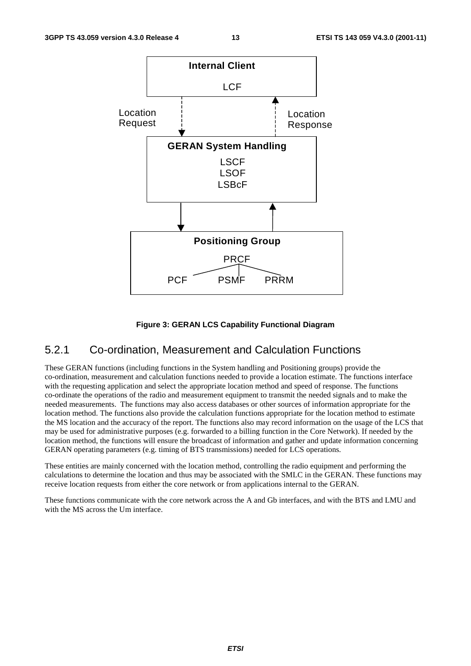

#### **Figure 3: GERAN LCS Capability Functional Diagram**

#### 5.2.1 Co-ordination, Measurement and Calculation Functions

These GERAN functions (including functions in the System handling and Positioning groups) provide the co-ordination, measurement and calculation functions needed to provide a location estimate. The functions interface with the requesting application and select the appropriate location method and speed of response. The functions co-ordinate the operations of the radio and measurement equipment to transmit the needed signals and to make the needed measurements. The functions may also access databases or other sources of information appropriate for the location method. The functions also provide the calculation functions appropriate for the location method to estimate the MS location and the accuracy of the report. The functions also may record information on the usage of the LCS that may be used for administrative purposes (e.g. forwarded to a billing function in the Core Network). If needed by the location method, the functions will ensure the broadcast of information and gather and update information concerning GERAN operating parameters (e.g. timing of BTS transmissions) needed for LCS operations.

These entities are mainly concerned with the location method, controlling the radio equipment and performing the calculations to determine the location and thus may be associated with the SMLC in the GERAN. These functions may receive location requests from either the core network or from applications internal to the GERAN.

These functions communicate with the core network across the A and Gb interfaces, and with the BTS and LMU and with the MS across the Um interface.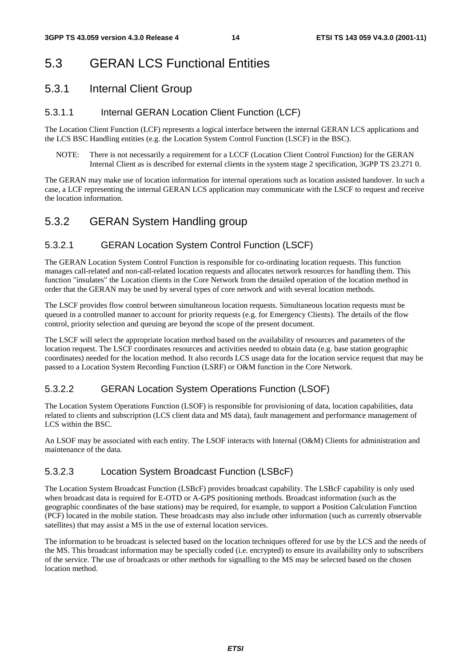## 5.3 GERAN LCS Functional Entities

### 5.3.1 Internal Client Group

### 5.3.1.1 Internal GERAN Location Client Function (LCF)

The Location Client Function (LCF) represents a logical interface between the internal GERAN LCS applications and the LCS BSC Handling entities (e.g. the Location System Control Function (LSCF) in the BSC).

NOTE: There is not necessarily a requirement for a LCCF (Location Client Control Function) for the GERAN Internal Client as is described for external clients in the system stage 2 specification, 3GPP TS 23.271 0.

The GERAN may make use of location information for internal operations such as location assisted handover. In such a case, a LCF representing the internal GERAN LCS application may communicate with the LSCF to request and receive the location information.

### 5.3.2 GERAN System Handling group

### 5.3.2.1 GERAN Location System Control Function (LSCF)

The GERAN Location System Control Function is responsible for co-ordinating location requests. This function manages call-related and non-call-related location requests and allocates network resources for handling them. This function "insulates" the Location clients in the Core Network from the detailed operation of the location method in order that the GERAN may be used by several types of core network and with several location methods.

The LSCF provides flow control between simultaneous location requests. Simultaneous location requests must be queued in a controlled manner to account for priority requests (e.g. for Emergency Clients). The details of the flow control, priority selection and queuing are beyond the scope of the present document.

The LSCF will select the appropriate location method based on the availability of resources and parameters of the location request. The LSCF coordinates resources and activities needed to obtain data (e.g. base station geographic coordinates) needed for the location method. It also records LCS usage data for the location service request that may be passed to a Location System Recording Function (LSRF) or O&M function in the Core Network.

### 5.3.2.2 GERAN Location System Operations Function (LSOF)

The Location System Operations Function (LSOF) is responsible for provisioning of data, location capabilities, data related to clients and subscription (LCS client data and MS data), fault management and performance management of LCS within the BSC.

An LSOF may be associated with each entity. The LSOF interacts with Internal (O&M) Clients for administration and maintenance of the data.

### 5.3.2.3 Location System Broadcast Function (LSBcF)

The Location System Broadcast Function (LSBcF) provides broadcast capability. The LSBcF capability is only used when broadcast data is required for E-OTD or A-GPS positioning methods. Broadcast information (such as the geographic coordinates of the base stations) may be required, for example, to support a Position Calculation Function (PCF) located in the mobile station. These broadcasts may also include other information (such as currently observable satellites) that may assist a MS in the use of external location services.

The information to be broadcast is selected based on the location techniques offered for use by the LCS and the needs of the MS. This broadcast information may be specially coded (i.e. encrypted) to ensure its availability only to subscribers of the service. The use of broadcasts or other methods for signalling to the MS may be selected based on the chosen location method.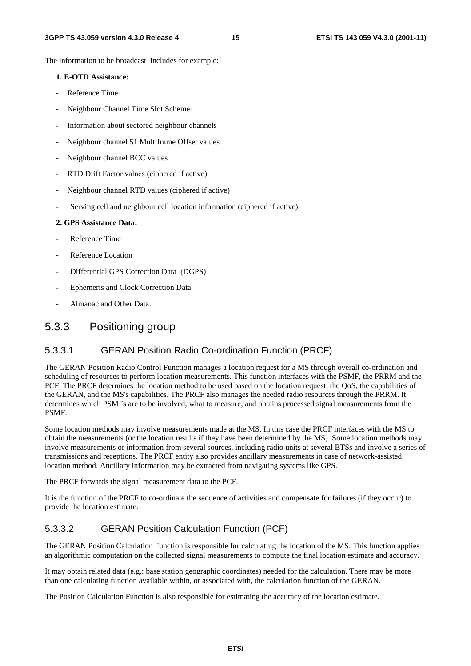The information to be broadcast includes for example:

#### **1. E-OTD Assistance:**

- Reference Time
- Neighbour Channel Time Slot Scheme
- Information about sectored neighbour channels
- Neighbour channel 51 Multiframe Offset values
- Neighbour channel BCC values
- RTD Drift Factor values (ciphered if active)
- Neighbour channel RTD values (ciphered if active)
- Serving cell and neighbour cell location information (ciphered if active)

#### **2. GPS Assistance Data:**

- Reference Time
- Reference Location
- Differential GPS Correction Data (DGPS)
- Ephemeris and Clock Correction Data
- Almanac and Other Data.

### 5.3.3 Positioning group

#### 5.3.3.1 GERAN Position Radio Co-ordination Function (PRCF)

The GERAN Position Radio Control Function manages a location request for a MS through overall co-ordination and scheduling of resources to perform location measurements. This function interfaces with the PSMF, the PRRM and the PCF. The PRCF determines the location method to be used based on the location request, the QoS, the capabilities of the GERAN, and the MS's capabilities. The PRCF also manages the needed radio resources through the PRRM. It determines which PSMFs are to be involved, what to measure, and obtains processed signal measurements from the PSMF.

Some location methods may involve measurements made at the MS. In this case the PRCF interfaces with the MS to obtain the measurements (or the location results if they have been determined by the MS). Some location methods may involve measurements or information from several sources, including radio units at several BTSs and involve a series of transmissions and receptions. The PRCF entity also provides ancillary measurements in case of network-assisted location method. Ancillary information may be extracted from navigating systems like GPS.

The PRCF forwards the signal measurement data to the PCF.

It is the function of the PRCF to co-ordinate the sequence of activities and compensate for failures (if they occur) to provide the location estimate.

#### 5.3.3.2 GERAN Position Calculation Function (PCF)

The GERAN Position Calculation Function is responsible for calculating the location of the MS. This function applies an algorithmic computation on the collected signal measurements to compute the final location estimate and accuracy.

It may obtain related data (e.g.: base station geographic coordinates) needed for the calculation. There may be more than one calculating function available within, or associated with, the calculation function of the GERAN.

The Position Calculation Function is also responsible for estimating the accuracy of the location estimate.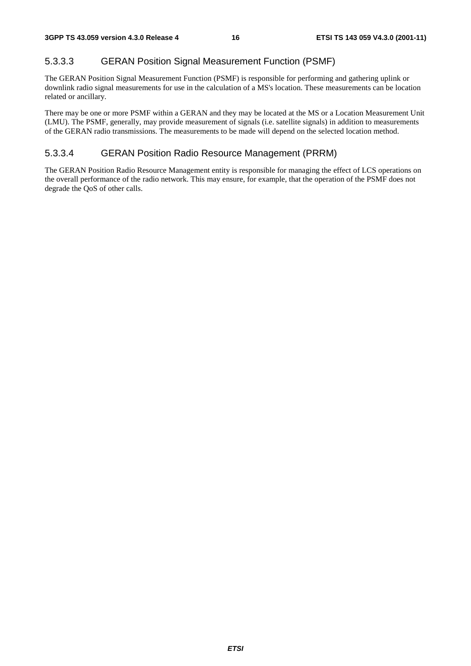### 5.3.3.3 GERAN Position Signal Measurement Function (PSMF)

The GERAN Position Signal Measurement Function (PSMF) is responsible for performing and gathering uplink or downlink radio signal measurements for use in the calculation of a MS's location. These measurements can be location related or ancillary.

There may be one or more PSMF within a GERAN and they may be located at the MS or a Location Measurement Unit (LMU). The PSMF, generally, may provide measurement of signals (i.e. satellite signals) in addition to measurements of the GERAN radio transmissions. The measurements to be made will depend on the selected location method.

### 5.3.3.4 GERAN Position Radio Resource Management (PRRM)

The GERAN Position Radio Resource Management entity is responsible for managing the effect of LCS operations on the overall performance of the radio network. This may ensure, for example, that the operation of the PSMF does not degrade the QoS of other calls.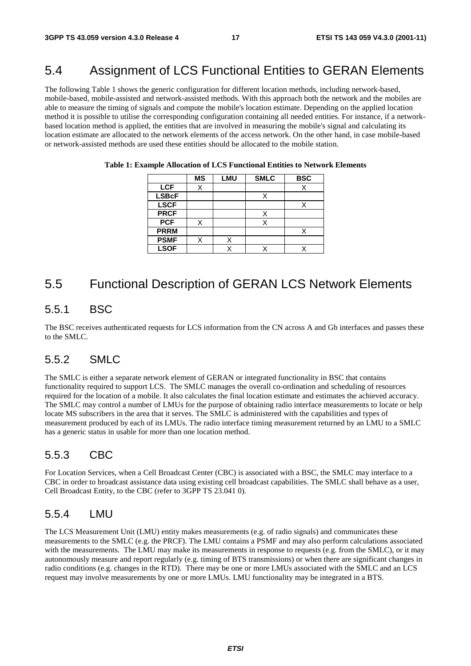### 5.4 Assignment of LCS Functional Entities to GERAN Elements

The following Table 1 shows the generic configuration for different location methods, including network-based, mobile-based, mobile-assisted and network-assisted methods. With this approach both the network and the mobiles are able to measure the timing of signals and compute the mobile's location estimate. Depending on the applied location method it is possible to utilise the corresponding configuration containing all needed entities. For instance, if a networkbased location method is applied, the entities that are involved in measuring the mobile's signal and calculating its location estimate are allocated to the network elements of the access network. On the other hand, in case mobile-based or network-assisted methods are used these entities should be allocated to the mobile station.

|              | <b>MS</b> | <b>LMU</b> | <b>SMLC</b> | <b>BSC</b> |
|--------------|-----------|------------|-------------|------------|
| <b>LCF</b>   |           |            |             |            |
| <b>LSBcF</b> |           |            | Χ           |            |
| <b>LSCF</b>  |           |            |             |            |
| <b>PRCF</b>  |           |            | X           |            |
| <b>PCF</b>   |           |            |             |            |
| <b>PRRM</b>  |           |            |             |            |
| <b>PSMF</b>  | Χ         |            |             |            |
| <b>LSOF</b>  |           |            |             |            |

**Table 1: Example Allocation of LCS Functional Entities to Network Elements** 

### 5.5 Functional Description of GERAN LCS Network Elements

### 5.5.1 BSC

The BSC receives authenticated requests for LCS information from the CN across A and Gb interfaces and passes these to the SMLC.

### 5.5.2 SMLC

The SMLC is either a separate network element of GERAN or integrated functionality in BSC that contains functionality required to support LCS. The SMLC manages the overall co-ordination and scheduling of resources required for the location of a mobile. It also calculates the final location estimate and estimates the achieved accuracy. The SMLC may control a number of LMUs for the purpose of obtaining radio interface measurements to locate or help locate MS subscribers in the area that it serves. The SMLC is administered with the capabilities and types of measurement produced by each of its LMUs. The radio interface timing measurement returned by an LMU to a SMLC has a generic status in usable for more than one location method.

### 5.5.3 CBC

For Location Services, when a Cell Broadcast Center (CBC) is associated with a BSC, the SMLC may interface to a CBC in order to broadcast assistance data using existing cell broadcast capabilities. The SMLC shall behave as a user, Cell Broadcast Entity, to the CBC (refer to 3GPP TS 23.041 0).

#### 5.5.4 LMU

The LCS Measurement Unit (LMU) entity makes measurements (e.g. of radio signals) and communicates these measurements to the SMLC (e.g. the PRCF). The LMU contains a PSMF and may also perform calculations associated with the measurements. The LMU may make its measurements in response to requests (e.g. from the SMLC), or it may autonomously measure and report regularly (e.g. timing of BTS transmissions) or when there are significant changes in radio conditions (e.g. changes in the RTD). There may be one or more LMUs associated with the SMLC and an LCS request may involve measurements by one or more LMUs. LMU functionality may be integrated in a BTS.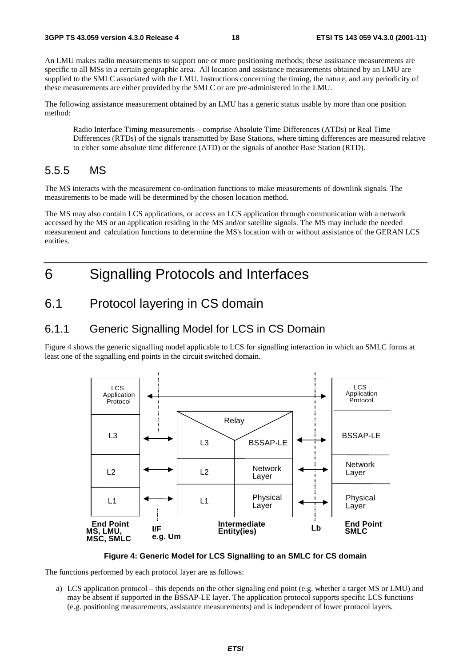An LMU makes radio measurements to support one or more positioning methods; these assistance measurements are specific to all MSs in a certain geographic area. All location and assistance measurements obtained by an LMU are supplied to the SMLC associated with the LMU. Instructions concerning the timing, the nature, and any periodicity of these measurements are either provided by the SMLC or are pre-administered in the LMU.

The following assistance measurement obtained by an LMU has a generic status usable by more than one position method:

Radio Interface Timing measurements – comprise Absolute Time Differences (ATDs) or Real Time Differences (RTDs) of the signals transmitted by Base Stations, where timing differences are measured relative to either some absolute time difference (ATD) or the signals of another Base Station (RTD).

### 5.5.5 MS

The MS interacts with the measurement co-ordination functions to make measurements of downlink signals. The measurements to be made will be determined by the chosen location method.

The MS may also contain LCS applications, or access an LCS application through communication with a network accessed by the MS or an application residing in the MS and/or satellite signals. The MS may include the needed measurement and calculation functions to determine the MS's location with or without assistance of the GERAN LCS entities.

## 6 Signalling Protocols and Interfaces

### 6.1 Protocol layering in CS domain

### 6.1.1 Generic Signalling Model for LCS in CS Domain

Figure 4 shows the generic signalling model applicable to LCS for signalling interaction in which an SMLC forms at least one of the signalling end points in the circuit switched domain.



#### **Figure 4: Generic Model for LCS Signalling to an SMLC for CS domain**

The functions performed by each protocol layer are as follows:

a) LCS application protocol – this depends on the other signaling end point (e.g. whether a target MS or LMU) and may be absent if supported in the BSSAP-LE layer. The application protocol supports specific LCS functions (e.g. positioning measurements, assistance measurements) and is independent of lower protocol layers.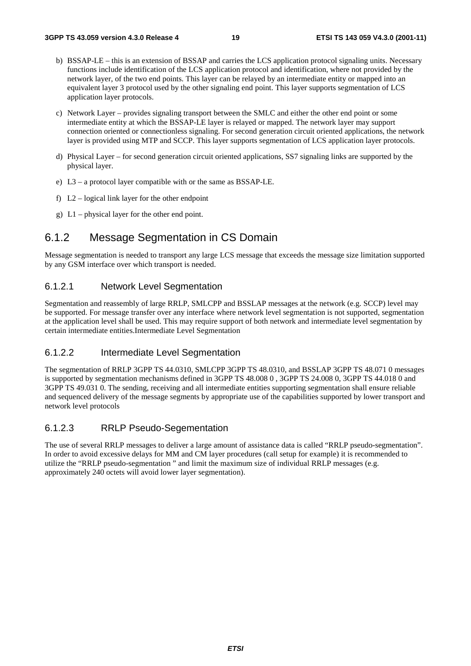- b) BSSAP-LE this is an extension of BSSAP and carries the LCS application protocol signaling units. Necessary functions include identification of the LCS application protocol and identification, where not provided by the network layer, of the two end points. This layer can be relayed by an intermediate entity or mapped into an equivalent layer 3 protocol used by the other signaling end point. This layer supports segmentation of LCS application layer protocols.
- c) Network Layer provides signaling transport between the SMLC and either the other end point or some intermediate entity at which the BSSAP-LE layer is relayed or mapped. The network layer may support connection oriented or connectionless signaling. For second generation circuit oriented applications, the network layer is provided using MTP and SCCP. This layer supports segmentation of LCS application layer protocols.
- d) Physical Layer for second generation circuit oriented applications, SS7 signaling links are supported by the physical layer.
- e) L3 a protocol layer compatible with or the same as BSSAP-LE.
- f) L2 logical link layer for the other endpoint
- g) L1 physical layer for the other end point.

### 6.1.2 Message Segmentation in CS Domain

Message segmentation is needed to transport any large LCS message that exceeds the message size limitation supported by any GSM interface over which transport is needed.

#### 6.1.2.1 Network Level Segmentation

Segmentation and reassembly of large RRLP, SMLCPP and BSSLAP messages at the network (e.g. SCCP) level may be supported. For message transfer over any interface where network level segmentation is not supported, segmentation at the application level shall be used. This may require support of both network and intermediate level segmentation by certain intermediate entities.Intermediate Level Segmentation

#### 6.1.2.2 Intermediate Level Segmentation

The segmentation of RRLP 3GPP TS 44.0310, SMLCPP 3GPP TS 48.0310, and BSSLAP 3GPP TS 48.071 0 messages is supported by segmentation mechanisms defined in 3GPP TS 48.008 0 , 3GPP TS 24.008 0, 3GPP TS 44.018 0 and 3GPP TS 49.031 0. The sending, receiving and all intermediate entities supporting segmentation shall ensure reliable and sequenced delivery of the message segments by appropriate use of the capabilities supported by lower transport and network level protocols

#### 6.1.2.3 RRLP Pseudo-Segementation

The use of several RRLP messages to deliver a large amount of assistance data is called "RRLP pseudo-segmentation". In order to avoid excessive delays for MM and CM layer procedures (call setup for example) it is recommended to utilize the "RRLP pseudo-segmentation " and limit the maximum size of individual RRLP messages (e.g. approximately 240 octets will avoid lower layer segmentation).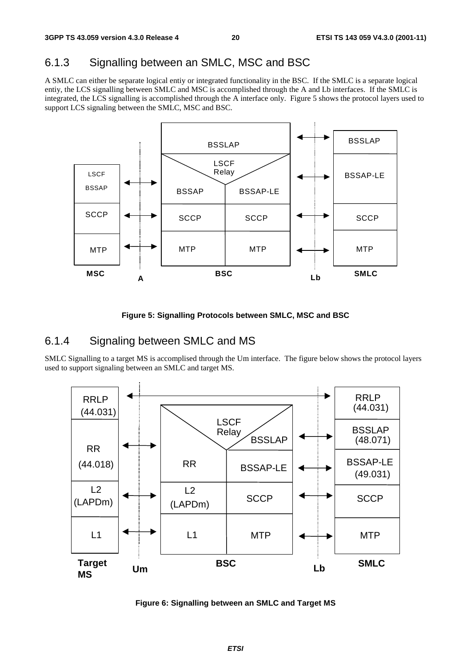### 6.1.3 Signalling between an SMLC, MSC and BSC

A SMLC can either be separate logical entiy or integrated functionality in the BSC. If the SMLC is a separate logical entiy, the LCS signalling between SMLC and MSC is accomplished through the A and Lb interfaces. If the SMLC is integrated, the LCS signalling is accomplished through the A interface only. Figure 5 shows the protocol layers used to support LCS signaling between the SMLC, MSC and BSC.



**Figure 5: Signalling Protocols between SMLC, MSC and BSC** 

#### 6.1.4 Signaling between SMLC and MS

SMLC Signalling to a target MS is accomplised through the Um interface. The figure below shows the protocol layers used to support signaling between an SMLC and target MS.



**Figure 6: Signalling between an SMLC and Target MS**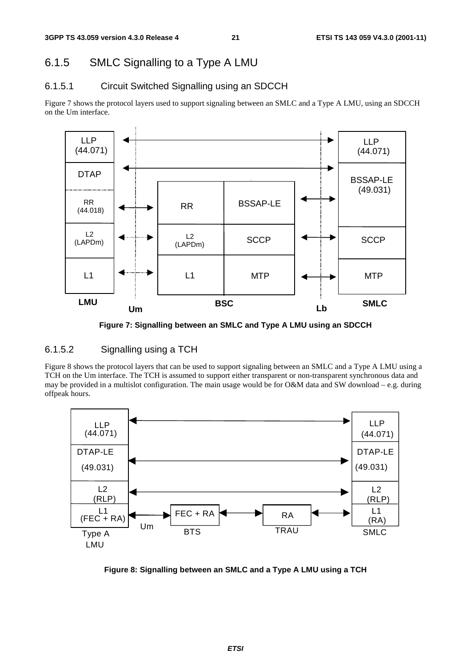### 6.1.5 SMLC Signalling to a Type A LMU

### 6.1.5.1 Circuit Switched Signalling using an SDCCH

Figure 7 shows the protocol layers used to support signaling between an SMLC and a Type A LMU, using an SDCCH on the Um interface.



**Figure 7: Signalling between an SMLC and Type A LMU using an SDCCH** 

#### 6.1.5.2 Signalling using a TCH

Figure 8 shows the protocol layers that can be used to support signaling between an SMLC and a Type A LMU using a TCH on the Um interface. The TCH is assumed to support either transparent or non-transparent synchronous data and may be provided in a multislot configuration. The main usage would be for O&M data and SW download – e.g. during offpeak hours.



**Figure 8: Signalling between an SMLC and a Type A LMU using a TCH**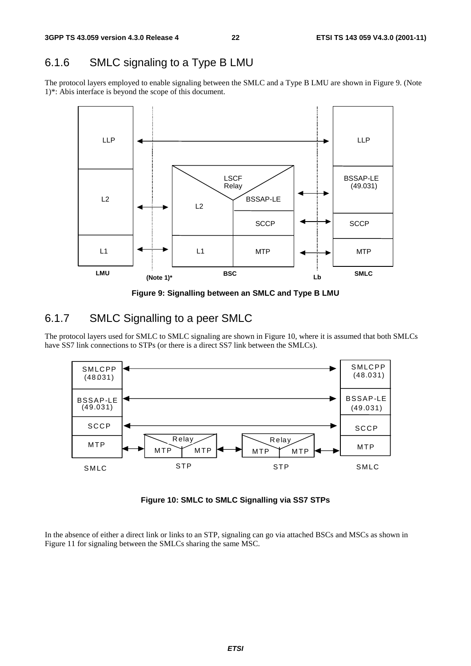## 6.1.6 SMLC signaling to a Type B LMU

The protocol layers employed to enable signaling between the SMLC and a Type B LMU are shown in Figure 9. (Note 1)\*: Abis interface is beyond the scope of this document.



**Figure 9: Signalling between an SMLC and Type B LMU** 

### 6.1.7 SMLC Signalling to a peer SMLC

The protocol layers used for SMLC to SMLC signaling are shown in Figure 10, where it is assumed that both SMLCs have SS7 link connections to STPs (or there is a direct SS7 link between the SMLCs).



**Figure 10: SMLC to SMLC Signalling via SS7 STPs** 

In the absence of either a direct link or links to an STP, signaling can go via attached BSCs and MSCs as shown in Figure 11 for signaling between the SMLCs sharing the same MSC.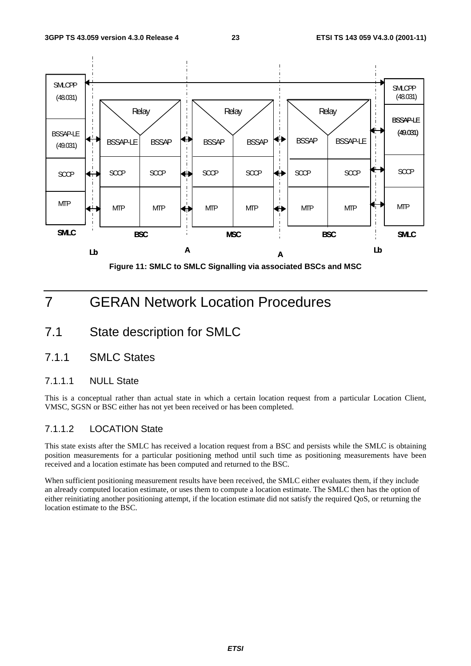

## 7 GERAN Network Location Procedures

- 7.1 State description for SMLC
- 7.1.1 SMLC States

#### 7.1.1.1 NULL State

This is a conceptual rather than actual state in which a certain location request from a particular Location Client, VMSC, SGSN or BSC either has not yet been received or has been completed.

#### 7.1.1.2 LOCATION State

This state exists after the SMLC has received a location request from a BSC and persists while the SMLC is obtaining position measurements for a particular positioning method until such time as positioning measurements have been received and a location estimate has been computed and returned to the BSC.

When sufficient positioning measurement results have been received, the SMLC either evaluates them, if they include an already computed location estimate, or uses them to compute a location estimate. The SMLC then has the option of either reinitiating another positioning attempt, if the location estimate did not satisfy the required QoS, or returning the location estimate to the BSC.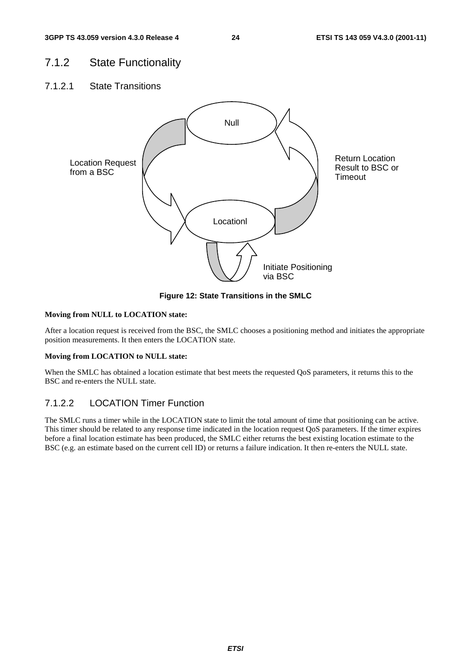### 7.1.2 State Functionality

7.1.2.1 State Transitions



**Figure 12: State Transitions in the SMLC** 

#### **Moving from NULL to LOCATION state:**

After a location request is received from the BSC, the SMLC chooses a positioning method and initiates the appropriate position measurements. It then enters the LOCATION state.

#### **Moving from LOCATION to NULL state:**

When the SMLC has obtained a location estimate that best meets the requested QoS parameters, it returns this to the BSC and re-enters the NULL state.

#### 7.1.2.2 LOCATION Timer Function

The SMLC runs a timer while in the LOCATION state to limit the total amount of time that positioning can be active. This timer should be related to any response time indicated in the location request QoS parameters. If the timer expires before a final location estimate has been produced, the SMLC either returns the best existing location estimate to the BSC (e.g. an estimate based on the current cell ID) or returns a failure indication. It then re-enters the NULL state.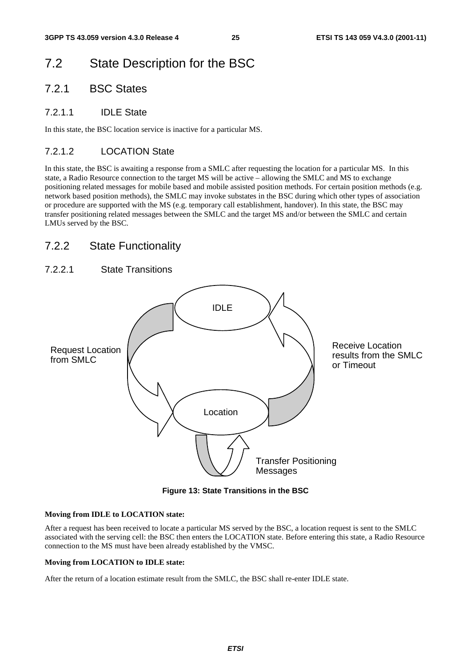## 7.2 State Description for the BSC

### 7.2.1 BSC States

#### 7.2.1.1 IDLE State

In this state, the BSC location service is inactive for a particular MS.

#### 7.2.1.2 LOCATION State

In this state, the BSC is awaiting a response from a SMLC after requesting the location for a particular MS. In this state, a Radio Resource connection to the target MS will be active – allowing the SMLC and MS to exchange positioning related messages for mobile based and mobile assisted position methods. For certain position methods (e.g. network based position methods), the SMLC may invoke substates in the BSC during which other types of association or procedure are supported with the MS (e.g. temporary call establishment, handover). In this state, the BSC may transfer positioning related messages between the SMLC and the target MS and/or between the SMLC and certain LMUs served by the BSC.

### 7.2.2 State Functionality

#### 7.2.2.1 State Transitions



**Figure 13: State Transitions in the BSC** 

#### **Moving from IDLE to LOCATION state:**

After a request has been received to locate a particular MS served by the BSC, a location request is sent to the SMLC associated with the serving cell: the BSC then enters the LOCATION state. Before entering this state, a Radio Resource connection to the MS must have been already established by the VMSC.

#### **Moving from LOCATION to IDLE state:**

After the return of a location estimate result from the SMLC, the BSC shall re-enter IDLE state.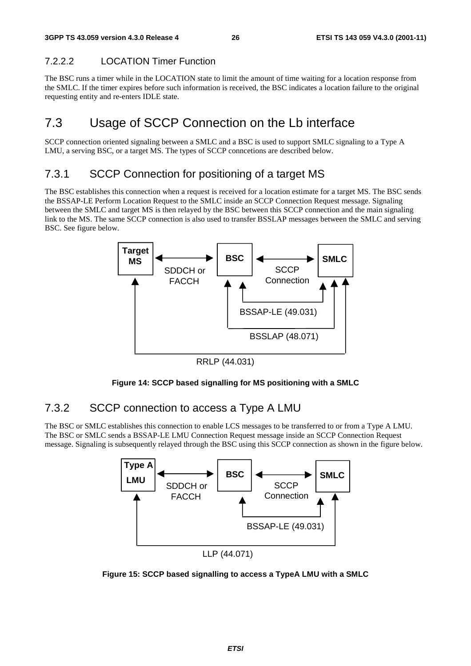### 7.2.2.2 LOCATION Timer Function

The BSC runs a timer while in the LOCATION state to limit the amount of time waiting for a location response from the SMLC. If the timer expires before such information is received, the BSC indicates a location failure to the original requesting entity and re-enters IDLE state.

## 7.3 Usage of SCCP Connection on the Lb interface

SCCP connection oriented signaling between a SMLC and a BSC is used to support SMLC signaling to a Type A LMU, a serving BSC, or a target MS. The types of SCCP conncetions are described below.

### 7.3.1 SCCP Connection for positioning of a target MS

The BSC establishes this connection when a request is received for a location estimate for a target MS. The BSC sends the BSSAP-LE Perform Location Request to the SMLC inside an SCCP Connection Request message. Signaling between the SMLC and target MS is then relayed by the BSC between this SCCP connection and the main signaling link to the MS. The same SCCP connection is also used to transfer BSSLAP messages between the SMLC and serving BSC. See figure below.



RRLP (44.031)



### 7.3.2 SCCP connection to access a Type A LMU

The BSC or SMLC establishes this connection to enable LCS messages to be transferred to or from a Type A LMU. The BSC or SMLC sends a BSSAP-LE LMU Connection Request message inside an SCCP Connection Request message. Signaling is subsequently relayed through the BSC using this SCCP connection as shown in the figure below.



LLP (44.071)

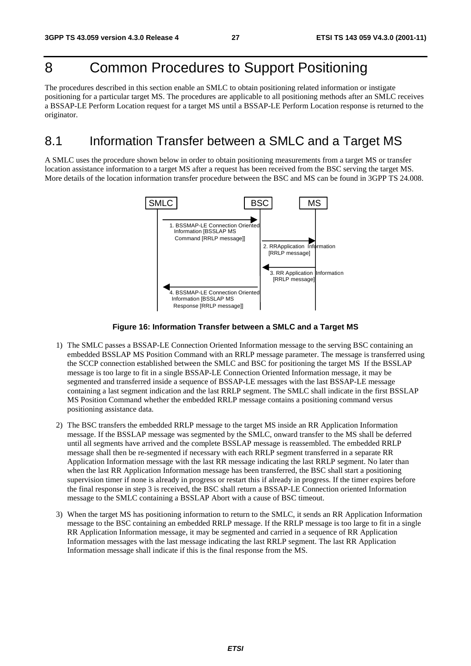## 8 Common Procedures to Support Positioning

The procedures described in this section enable an SMLC to obtain positioning related information or instigate positioning for a particular target MS. The procedures are applicable to all positioning methods after an SMLC receives a BSSAP-LE Perform Location request for a target MS until a BSSAP-LE Perform Location response is returned to the originator.

### 8.1 Information Transfer between a SMLC and a Target MS

A SMLC uses the procedure shown below in order to obtain positioning measurements from a target MS or transfer location assistance information to a target MS after a request has been received from the BSC serving the target MS. More details of the location information transfer procedure between the BSC and MS can be found in 3GPP TS 24.008.



**Figure 16: Information Transfer between a SMLC and a Target MS** 

- 1) The SMLC passes a BSSAP-LE Connection Oriented Information message to the serving BSC containing an embedded BSSLAP MS Position Command with an RRLP message parameter. The message is transferred using the SCCP connection established between the SMLC and BSC for positioning the target MS If the BSSLAP message is too large to fit in a single BSSAP-LE Connection Oriented Information message, it may be segmented and transferred inside a sequence of BSSAP-LE messages with the last BSSAP-LE message containing a last segment indication and the last RRLP segment. The SMLC shall indicate in the first BSSLAP MS Position Command whether the embedded RRLP message contains a positioning command versus positioning assistance data.
- 2) The BSC transfers the embedded RRLP message to the target MS inside an RR Application Information message. If the BSSLAP message was segmented by the SMLC, onward transfer to the MS shall be deferred until all segments have arrived and the complete BSSLAP message is reassembled. The embedded RRLP message shall then be re-segmented if necessary with each RRLP segment transferred in a separate RR Application Information message with the last RR message indicating the last RRLP segment. No later than when the last RR Application Information message has been transferred, the BSC shall start a positioning supervision timer if none is already in progress or restart this if already in progress. If the timer expires before the final response in step 3 is received, the BSC shall return a BSSAP-LE Connection oriented Information message to the SMLC containing a BSSLAP Abort with a cause of BSC timeout.
- 3) When the target MS has positioning information to return to the SMLC, it sends an RR Application Information message to the BSC containing an embedded RRLP message. If the RRLP message is too large to fit in a single RR Application Information message, it may be segmented and carried in a sequence of RR Application Information messages with the last message indicating the last RRLP segment. The last RR Application Information message shall indicate if this is the final response from the MS.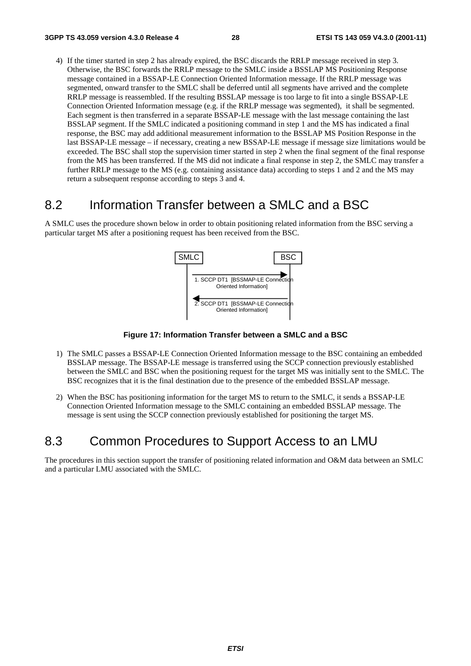4) If the timer started in step 2 has already expired, the BSC discards the RRLP message received in step 3. Otherwise, the BSC forwards the RRLP message to the SMLC inside a BSSLAP MS Positioning Response message contained in a BSSAP-LE Connection Oriented Information message. If the RRLP message was segmented, onward transfer to the SMLC shall be deferred until all segments have arrived and the complete RRLP message is reassembled. If the resulting BSSLAP message is too large to fit into a single BSSAP-LE Connection Oriented Information message (e.g. if the RRLP message was segmented), it shall be segmented. Each segment is then transferred in a separate BSSAP-LE message with the last message containing the last BSSLAP segment. If the SMLC indicated a positioning command in step 1 and the MS has indicated a final response, the BSC may add additional measurement information to the BSSLAP MS Position Response in the last BSSAP-LE message – if necessary, creating a new BSSAP-LE message if message size limitations would be exceeded. The BSC shall stop the supervision timer started in step 2 when the final segment of the final response from the MS has been transferred. If the MS did not indicate a final response in step 2, the SMLC may transfer a further RRLP message to the MS (e.g. containing assistance data) according to steps 1 and 2 and the MS may return a subsequent response according to steps 3 and 4.

### 8.2 Information Transfer between a SMLC and a BSC

A SMLC uses the procedure shown below in order to obtain positioning related information from the BSC serving a particular target MS after a positioning request has been received from the BSC.



**Figure 17: Information Transfer between a SMLC and a BSC** 

- 1) The SMLC passes a BSSAP-LE Connection Oriented Information message to the BSC containing an embedded BSSLAP message. The BSSAP-LE message is transferred using the SCCP connection previously established between the SMLC and BSC when the positioning request for the target MS was initially sent to the SMLC. The BSC recognizes that it is the final destination due to the presence of the embedded BSSLAP message.
- 2) When the BSC has positioning information for the target MS to return to the SMLC, it sends a BSSAP-LE Connection Oriented Information message to the SMLC containing an embedded BSSLAP message. The message is sent using the SCCP connection previously established for positioning the target MS.

### 8.3 Common Procedures to Support Access to an LMU

The procedures in this section support the transfer of positioning related information and O&M data between an SMLC and a particular LMU associated with the SMLC.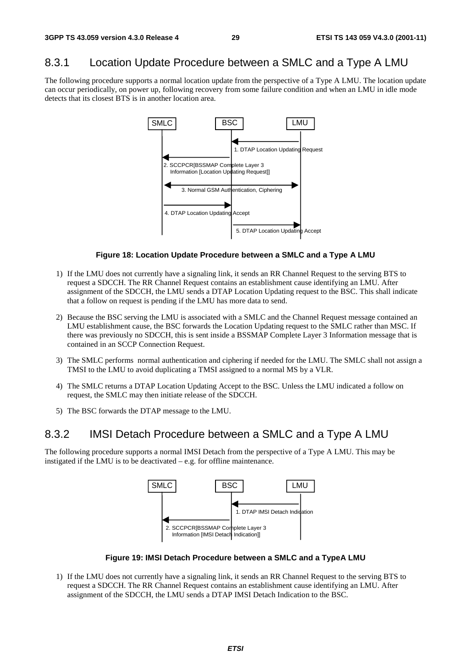### 8.3.1 Location Update Procedure between a SMLC and a Type A LMU

The following procedure supports a normal location update from the perspective of a Type A LMU. The location update can occur periodically, on power up, following recovery from some failure condition and when an LMU in idle mode detects that its closest BTS is in another location area.



#### **Figure 18: Location Update Procedure between a SMLC and a Type A LMU**

- 1) If the LMU does not currently have a signaling link, it sends an RR Channel Request to the serving BTS to request a SDCCH. The RR Channel Request contains an establishment cause identifying an LMU. After assignment of the SDCCH, the LMU sends a DTAP Location Updating request to the BSC. This shall indicate that a follow on request is pending if the LMU has more data to send.
- 2) Because the BSC serving the LMU is associated with a SMLC and the Channel Request message contained an LMU establishment cause, the BSC forwards the Location Updating request to the SMLC rather than MSC. If there was previously no SDCCH, this is sent inside a BSSMAP Complete Layer 3 Information message that is contained in an SCCP Connection Request.
- 3) The SMLC performs normal authentication and ciphering if needed for the LMU. The SMLC shall not assign a TMSI to the LMU to avoid duplicating a TMSI assigned to a normal MS by a VLR.
- 4) The SMLC returns a DTAP Location Updating Accept to the BSC. Unless the LMU indicated a follow on request, the SMLC may then initiate release of the SDCCH.
- 5) The BSC forwards the DTAP message to the LMU.

### 8.3.2 IMSI Detach Procedure between a SMLC and a Type A LMU

The following procedure supports a normal IMSI Detach from the perspective of a Type A LMU. This may be instigated if the LMU is to be deactivated – e.g. for offline maintenance.



#### **Figure 19: IMSI Detach Procedure between a SMLC and a TypeA LMU**

1) If the LMU does not currently have a signaling link, it sends an RR Channel Request to the serving BTS to request a SDCCH. The RR Channel Request contains an establishment cause identifying an LMU. After assignment of the SDCCH, the LMU sends a DTAP IMSI Detach Indication to the BSC.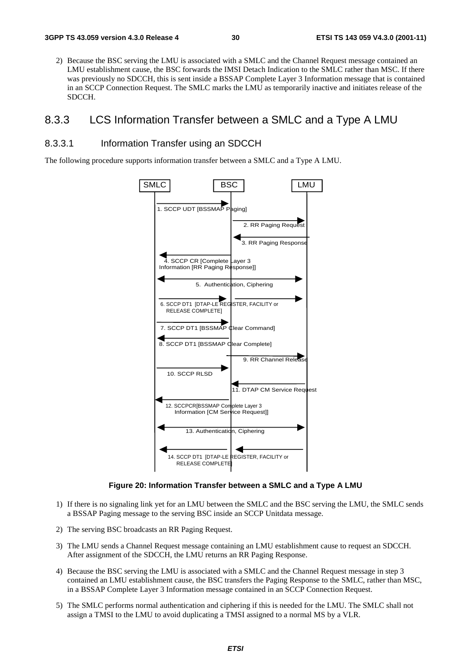2) Because the BSC serving the LMU is associated with a SMLC and the Channel Request message contained an LMU establishment cause, the BSC forwards the IMSI Detach Indication to the SMLC rather than MSC. If there was previously no SDCCH, this is sent inside a BSSAP Complete Layer 3 Information message that is contained in an SCCP Connection Request. The SMLC marks the LMU as temporarily inactive and initiates release of the SDCCH.

### 8.3.3 LCS Information Transfer between a SMLC and a Type A LMU

#### 8.3.3.1 Information Transfer using an SDCCH

The following procedure supports information transfer between a SMLC and a Type A LMU.



**Figure 20: Information Transfer between a SMLC and a Type A LMU** 

- 1) If there is no signaling link yet for an LMU between the SMLC and the BSC serving the LMU, the SMLC sends a BSSAP Paging message to the serving BSC inside an SCCP Unitdata message.
- 2) The serving BSC broadcasts an RR Paging Request.
- 3) The LMU sends a Channel Request message containing an LMU establishment cause to request an SDCCH. After assignment of the SDCCH, the LMU returns an RR Paging Response.
- 4) Because the BSC serving the LMU is associated with a SMLC and the Channel Request message in step 3 contained an LMU establishment cause, the BSC transfers the Paging Response to the SMLC, rather than MSC, in a BSSAP Complete Layer 3 Information message contained in an SCCP Connection Request.
- 5) The SMLC performs normal authentication and ciphering if this is needed for the LMU. The SMLC shall not assign a TMSI to the LMU to avoid duplicating a TMSI assigned to a normal MS by a VLR.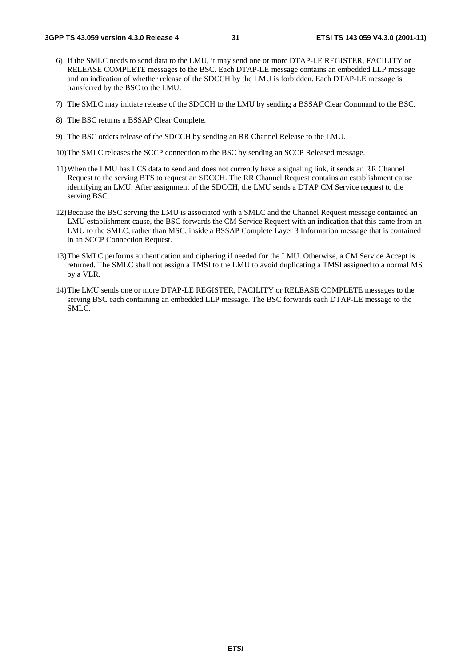- 6) If the SMLC needs to send data to the LMU, it may send one or more DTAP-LE REGISTER, FACILITY or RELEASE COMPLETE messages to the BSC. Each DTAP-LE message contains an embedded LLP message and an indication of whether release of the SDCCH by the LMU is forbidden. Each DTAP-LE message is transferred by the BSC to the LMU.
- 7) The SMLC may initiate release of the SDCCH to the LMU by sending a BSSAP Clear Command to the BSC.
- 8) The BSC returns a BSSAP Clear Complete.
- 9) The BSC orders release of the SDCCH by sending an RR Channel Release to the LMU.
- 10) The SMLC releases the SCCP connection to the BSC by sending an SCCP Released message.
- 11) When the LMU has LCS data to send and does not currently have a signaling link, it sends an RR Channel Request to the serving BTS to request an SDCCH. The RR Channel Request contains an establishment cause identifying an LMU. After assignment of the SDCCH, the LMU sends a DTAP CM Service request to the serving BSC.
- 12) Because the BSC serving the LMU is associated with a SMLC and the Channel Request message contained an LMU establishment cause, the BSC forwards the CM Service Request with an indication that this came from an LMU to the SMLC, rather than MSC, inside a BSSAP Complete Layer 3 Information message that is contained in an SCCP Connection Request.
- 13) The SMLC performs authentication and ciphering if needed for the LMU. Otherwise, a CM Service Accept is returned. The SMLC shall not assign a TMSI to the LMU to avoid duplicating a TMSI assigned to a normal MS by a VLR.
- 14) The LMU sends one or more DTAP-LE REGISTER, FACILITY or RELEASE COMPLETE messages to the serving BSC each containing an embedded LLP message. The BSC forwards each DTAP-LE message to the SMLC.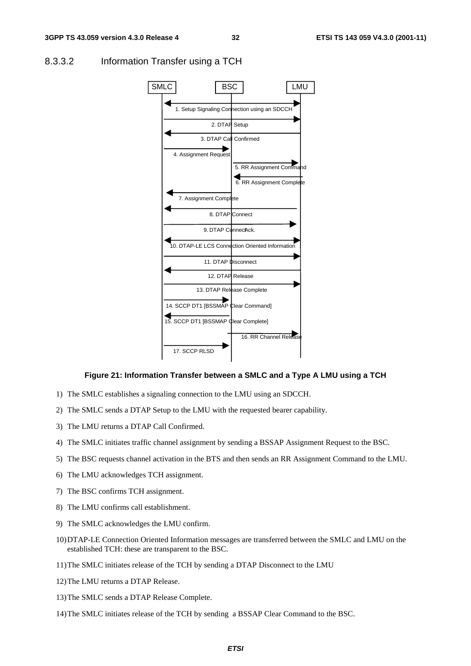

#### 8.3.3.2 Information Transfer using a TCH

#### **Figure 21: Information Transfer between a SMLC and a Type A LMU using a TCH**

- 1) The SMLC establishes a signaling connection to the LMU using an SDCCH.
- 2) The SMLC sends a DTAP Setup to the LMU with the requested bearer capability.
- 3) The LMU returns a DTAP Call Confirmed.
- 4) The SMLC initiates traffic channel assignment by sending a BSSAP Assignment Request to the BSC.
- 5) The BSC requests channel activation in the BTS and then sends an RR Assignment Command to the LMU.
- 6) The LMU acknowledges TCH assignment.
- 7) The BSC confirms TCH assignment.
- 8) The LMU confirms call establishment.
- 9) The SMLC acknowledges the LMU confirm.
- 10) DTAP-LE Connection Oriented Information messages are transferred between the SMLC and LMU on the established TCH: these are transparent to the BSC.
- 11) The SMLC initiates release of the TCH by sending a DTAP Disconnect to the LMU
- 12) The LMU returns a DTAP Release.
- 13) The SMLC sends a DTAP Release Complete.
- 14) The SMLC initiates release of the TCH by sending a BSSAP Clear Command to the BSC.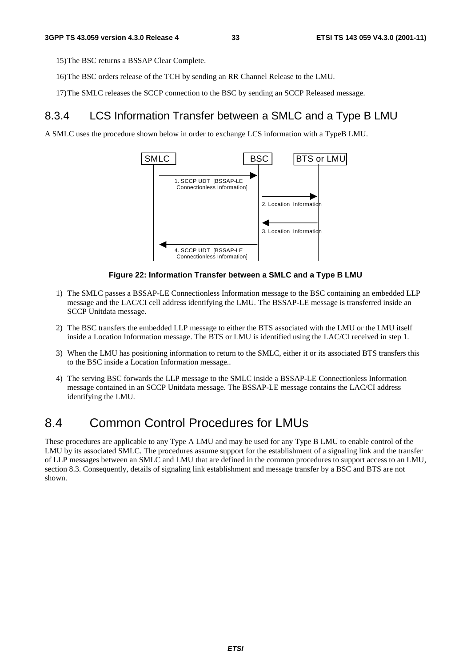15) The BSC returns a BSSAP Clear Complete.

- 16) The BSC orders release of the TCH by sending an RR Channel Release to the LMU.
- 17) The SMLC releases the SCCP connection to the BSC by sending an SCCP Released message.

### 8.3.4 LCS Information Transfer between a SMLC and a Type B LMU

A SMLC uses the procedure shown below in order to exchange LCS information with a TypeB LMU.



#### **Figure 22: Information Transfer between a SMLC and a Type B LMU**

- 1) The SMLC passes a BSSAP-LE Connectionless Information message to the BSC containing an embedded LLP message and the LAC/CI cell address identifying the LMU. The BSSAP-LE message is transferred inside an SCCP Unitdata message.
- 2) The BSC transfers the embedded LLP message to either the BTS associated with the LMU or the LMU itself inside a Location Information message. The BTS or LMU is identified using the LAC/CI received in step 1.
- 3) When the LMU has positioning information to return to the SMLC, either it or its associated BTS transfers this to the BSC inside a Location Information message..
- 4) The serving BSC forwards the LLP message to the SMLC inside a BSSAP-LE Connectionless Information message contained in an SCCP Unitdata message. The BSSAP-LE message contains the LAC/CI address identifying the LMU.

### 8.4 Common Control Procedures for LMUs

These procedures are applicable to any Type A LMU and may be used for any Type B LMU to enable control of the LMU by its associated SMLC. The procedures assume support for the establishment of a signaling link and the transfer of LLP messages between an SMLC and LMU that are defined in the common procedures to support access to an LMU, section 8.3. Consequently, details of signaling link establishment and message transfer by a BSC and BTS are not shown.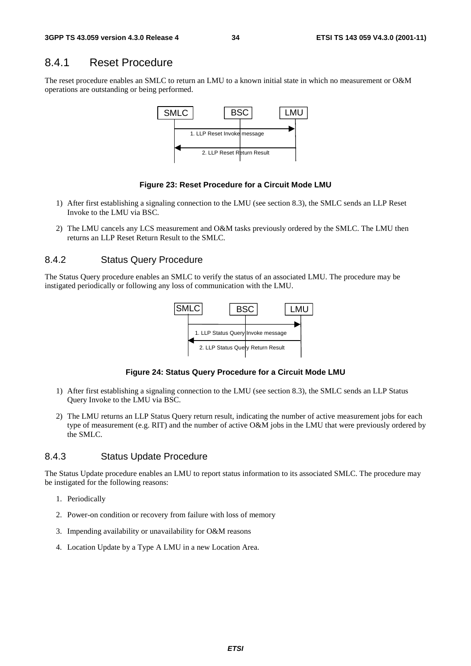### 8.4.1 Reset Procedure

The reset procedure enables an SMLC to return an LMU to a known initial state in which no measurement or O&M operations are outstanding or being performed.



#### **Figure 23: Reset Procedure for a Circuit Mode LMU**

- 1) After first establishing a signaling connection to the LMU (see section 8.3), the SMLC sends an LLP Reset Invoke to the LMU via BSC.
- 2) The LMU cancels any LCS measurement and O&M tasks previously ordered by the SMLC. The LMU then returns an LLP Reset Return Result to the SMLC.

#### 8.4.2 Status Query Procedure

The Status Query procedure enables an SMLC to verify the status of an associated LMU. The procedure may be instigated periodically or following any loss of communication with the LMU.



#### **Figure 24: Status Query Procedure for a Circuit Mode LMU**

- 1) After first establishing a signaling connection to the LMU (see section 8.3), the SMLC sends an LLP Status Query Invoke to the LMU via BSC.
- 2) The LMU returns an LLP Status Query return result, indicating the number of active measurement jobs for each type of measurement (e.g. RIT) and the number of active O&M jobs in the LMU that were previously ordered by the SMLC.

#### 8.4.3 Status Update Procedure

The Status Update procedure enables an LMU to report status information to its associated SMLC. The procedure may be instigated for the following reasons:

- 1. Periodically
- 2. Power-on condition or recovery from failure with loss of memory
- 3. Impending availability or unavailability for O&M reasons
- 4. Location Update by a Type A LMU in a new Location Area.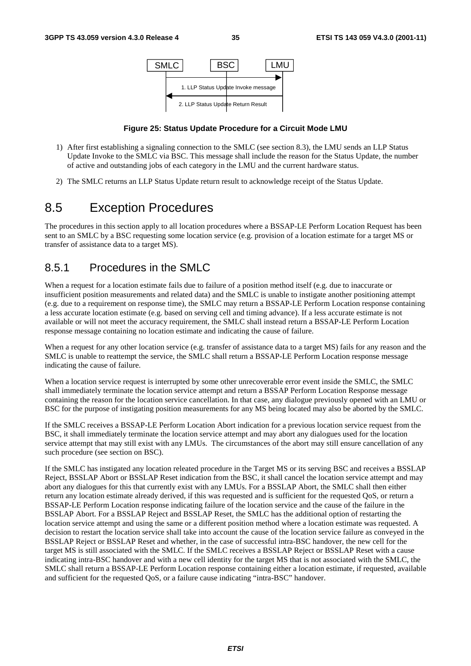

#### **Figure 25: Status Update Procedure for a Circuit Mode LMU**

- 1) After first establishing a signaling connection to the SMLC (see section 8.3), the LMU sends an LLP Status Update Invoke to the SMLC via BSC. This message shall include the reason for the Status Update, the number of active and outstanding jobs of each category in the LMU and the current hardware status.
- 2) The SMLC returns an LLP Status Update return result to acknowledge receipt of the Status Update.

### 8.5 Exception Procedures

The procedures in this section apply to all location procedures where a BSSAP-LE Perform Location Request has been sent to an SMLC by a BSC requesting some location service (e.g. provision of a location estimate for a target MS or transfer of assistance data to a target MS).

### 8.5.1 Procedures in the SMLC

When a request for a location estimate fails due to failure of a position method itself (e.g. due to inaccurate or insufficient position measurements and related data) and the SMLC is unable to instigate another positioning attempt (e.g. due to a requirement on response time), the SMLC may return a BSSAP-LE Perform Location response containing a less accurate location estimate (e.g. based on serving cell and timing advance). If a less accurate estimate is not available or will not meet the accuracy requirement, the SMLC shall instead return a BSSAP-LE Perform Location response message containing no location estimate and indicating the cause of failure.

When a request for any other location service (e.g. transfer of assistance data to a target MS) fails for any reason and the SMLC is unable to reattempt the service, the SMLC shall return a BSSAP-LE Perform Location response message indicating the cause of failure.

When a location service request is interrupted by some other unrecoverable error event inside the SMLC, the SMLC shall immediately terminate the location service attempt and return a BSSAP Perform Location Response message containing the reason for the location service cancellation. In that case, any dialogue previously opened with an LMU or BSC for the purpose of instigating position measurements for any MS being located may also be aborted by the SMLC.

If the SMLC receives a BSSAP-LE Perform Location Abort indication for a previous location service request from the BSC, it shall immediately terminate the location service attempt and may abort any dialogues used for the location service attempt that may still exist with any LMUs. The circumstances of the abort may still ensure cancellation of any such procedure (see section on BSC).

If the SMLC has instigated any location releated procedure in the Target MS or its serving BSC and receives a BSSLAP Reject, BSSLAP Abort or BSSLAP Reset indication from the BSC, it shall cancel the location service attempt and may abort any dialogues for this that currently exist with any LMUs. For a BSSLAP Abort, the SMLC shall then either return any location estimate already derived, if this was requested and is sufficient for the requested QoS, or return a BSSAP-LE Perform Location response indicating failure of the location service and the cause of the failure in the BSSLAP Abort. For a BSSLAP Reject and BSSLAP Reset, the SMLC has the additional option of restarting the location service attempt and using the same or a different position method where a location estimate was requested. A decision to restart the location service shall take into account the cause of the location service failure as conveyed in the BSSLAP Reject or BSSLAP Reset and whether, in the case of successful intra-BSC handover, the new cell for the target MS is still associated with the SMLC. If the SMLC receives a BSSLAP Reject or BSSLAP Reset with a cause indicating intra-BSC handover and with a new cell identity for the target MS that is not associated with the SMLC, the SMLC shall return a BSSAP-LE Perform Location response containing either a location estimate, if requested, available and sufficient for the requested QoS, or a failure cause indicating "intra-BSC" handover.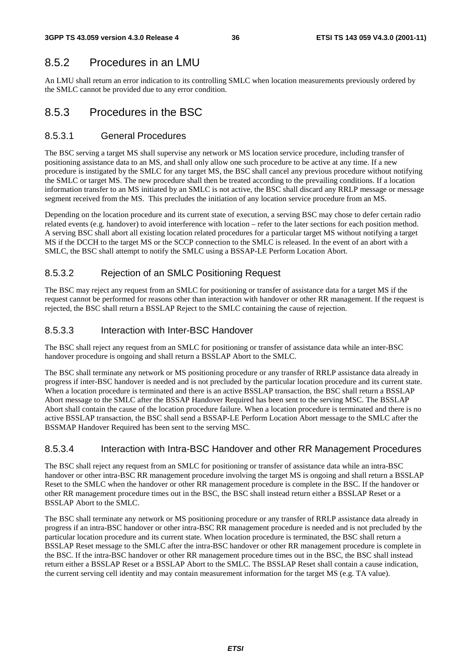### 8.5.2 Procedures in an LMU

An LMU shall return an error indication to its controlling SMLC when location measurements previously ordered by the SMLC cannot be provided due to any error condition.

### 8.5.3 Procedures in the BSC

#### 8.5.3.1 General Procedures

The BSC serving a target MS shall supervise any network or MS location service procedure, including transfer of positioning assistance data to an MS, and shall only allow one such procedure to be active at any time. If a new procedure is instigated by the SMLC for any target MS, the BSC shall cancel any previous procedure without notifying the SMLC or target MS. The new procedure shall then be treated according to the prevailing conditions. If a location information transfer to an MS initiated by an SMLC is not active, the BSC shall discard any RRLP message or message segment received from the MS. This precludes the initiation of any location service procedure from an MS.

Depending on the location procedure and its current state of execution, a serving BSC may chose to defer certain radio related events (e.g. handover) to avoid interference with location – refer to the later sections for each position method. A serving BSC shall abort all existing location related procedures for a particular target MS without notifying a target MS if the DCCH to the target MS or the SCCP connection to the SMLC is released. In the event of an abort with a SMLC, the BSC shall attempt to notify the SMLC using a BSSAP-LE Perform Location Abort.

### 8.5.3.2 Rejection of an SMLC Positioning Request

The BSC may reject any request from an SMLC for positioning or transfer of assistance data for a target MS if the request cannot be performed for reasons other than interaction with handover or other RR management. If the request is rejected, the BSC shall return a BSSLAP Reject to the SMLC containing the cause of rejection.

#### 8.5.3.3 Interaction with Inter-BSC Handover

The BSC shall reject any request from an SMLC for positioning or transfer of assistance data while an inter-BSC handover procedure is ongoing and shall return a BSSLAP Abort to the SMLC.

The BSC shall terminate any network or MS positioning procedure or any transfer of RRLP assistance data already in progress if inter-BSC handover is needed and is not precluded by the particular location procedure and its current state. When a location procedure is terminated and there is an active BSSLAP transaction, the BSC shall return a BSSLAP Abort message to the SMLC after the BSSAP Handover Required has been sent to the serving MSC. The BSSLAP Abort shall contain the cause of the location procedure failure. When a location procedure is terminated and there is no active BSSLAP transaction, the BSC shall send a BSSAP-LE Perform Location Abort message to the SMLC after the BSSMAP Handover Required has been sent to the serving MSC.

#### 8.5.3.4 Interaction with Intra-BSC Handover and other RR Management Procedures

The BSC shall reject any request from an SMLC for positioning or transfer of assistance data while an intra-BSC handover or other intra-BSC RR management procedure involving the target MS is ongoing and shall return a BSSLAP Reset to the SMLC when the handover or other RR management procedure is complete in the BSC. If the handover or other RR management procedure times out in the BSC, the BSC shall instead return either a BSSLAP Reset or a BSSLAP Abort to the SMLC.

The BSC shall terminate any network or MS positioning procedure or any transfer of RRLP assistance data already in progress if an intra-BSC handover or other intra-BSC RR management procedure is needed and is not precluded by the particular location procedure and its current state. When location procedure is terminated, the BSC shall return a BSSLAP Reset message to the SMLC after the intra-BSC handover or other RR management procedure is complete in the BSC. If the intra-BSC handover or other RR management procedure times out in the BSC, the BSC shall instead return either a BSSLAP Reset or a BSSLAP Abort to the SMLC. The BSSLAP Reset shall contain a cause indication, the current serving cell identity and may contain measurement information for the target MS (e.g. TA value).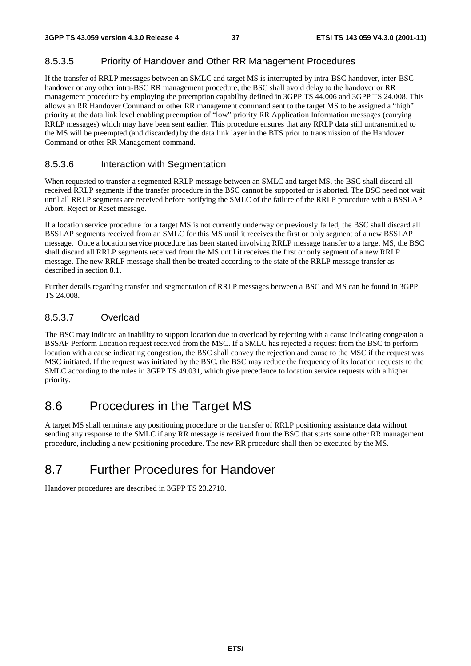#### 8.5.3.5 Priority of Handover and Other RR Management Procedures

If the transfer of RRLP messages between an SMLC and target MS is interrupted by intra-BSC handover, inter-BSC handover or any other intra-BSC RR management procedure, the BSC shall avoid delay to the handover or RR management procedure by employing the preemption capability defined in 3GPP TS 44.006 and 3GPP TS 24.008. This allows an RR Handover Command or other RR management command sent to the target MS to be assigned a "high" priority at the data link level enabling preemption of "low" priority RR Application Information messages (carrying RRLP messages) which may have been sent earlier. This procedure ensures that any RRLP data still untransmitted to the MS will be preempted (and discarded) by the data link layer in the BTS prior to transmission of the Handover Command or other RR Management command.

#### 8.5.3.6 Interaction with Segmentation

When requested to transfer a segmented RRLP message between an SMLC and target MS, the BSC shall discard all received RRLP segments if the transfer procedure in the BSC cannot be supported or is aborted. The BSC need not wait until all RRLP segments are received before notifying the SMLC of the failure of the RRLP procedure with a BSSLAP Abort, Reject or Reset message.

If a location service procedure for a target MS is not currently underway or previously failed, the BSC shall discard all BSSLAP segments received from an SMLC for this MS until it receives the first or only segment of a new BSSLAP message. Once a location service procedure has been started involving RRLP message transfer to a target MS, the BSC shall discard all RRLP segments received from the MS until it receives the first or only segment of a new RRLP message. The new RRLP message shall then be treated according to the state of the RRLP message transfer as described in section 8.1.

Further details regarding transfer and segmentation of RRLP messages between a BSC and MS can be found in 3GPP TS 24.008.

#### 8.5.3.7 Overload

The BSC may indicate an inability to support location due to overload by rejecting with a cause indicating congestion a BSSAP Perform Location request received from the MSC. If a SMLC has rejected a request from the BSC to perform location with a cause indicating congestion, the BSC shall convey the rejection and cause to the MSC if the request was MSC initiated. If the request was initiated by the BSC, the BSC may reduce the frequency of its location requests to the SMLC according to the rules in 3GPP TS 49.031, which give precedence to location service requests with a higher priority.

## 8.6 Procedures in the Target MS

A target MS shall terminate any positioning procedure or the transfer of RRLP positioning assistance data without sending any response to the SMLC if any RR message is received from the BSC that starts some other RR management procedure, including a new positioning procedure. The new RR procedure shall then be executed by the MS.

## 8.7 Further Procedures for Handover

Handover procedures are described in 3GPP TS 23.2710.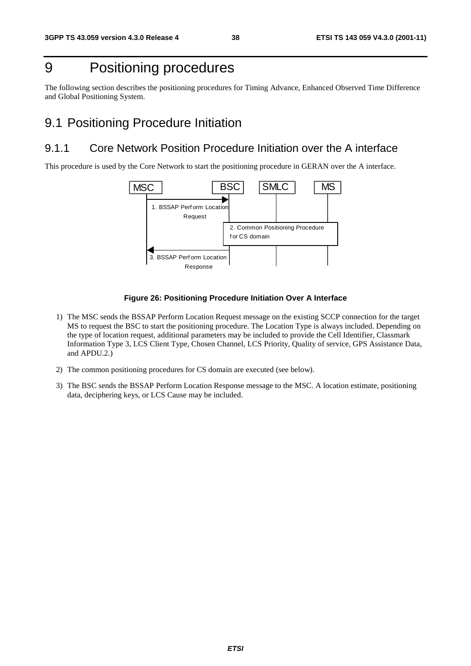## 9 Positioning procedures

The following section describes the positioning procedures for Timing Advance, Enhanced Observed Time Difference and Global Positioning System.

### 9.1 Positioning Procedure Initiation

### 9.1.1 Core Network Position Procedure Initiation over the A interface

This procedure is used by the Core Network to start the positioning procedure in GERAN over the A interface.



#### **Figure 26: Positioning Procedure Initiation Over A Interface**

- 1) The MSC sends the BSSAP Perform Location Request message on the existing SCCP connection for the target MS to request the BSC to start the positioning procedure. The Location Type is always included. Depending on the type of location request, additional parameters may be included to provide the Cell Identifier, Classmark Information Type 3, LCS Client Type, Chosen Channel, LCS Priority, Quality of service, GPS Assistance Data, and APDU.2.)
- 2) The common positioning procedures for CS domain are executed (see below).
- 3) The BSC sends the BSSAP Perform Location Response message to the MSC. A location estimate, positioning data, deciphering keys, or LCS Cause may be included.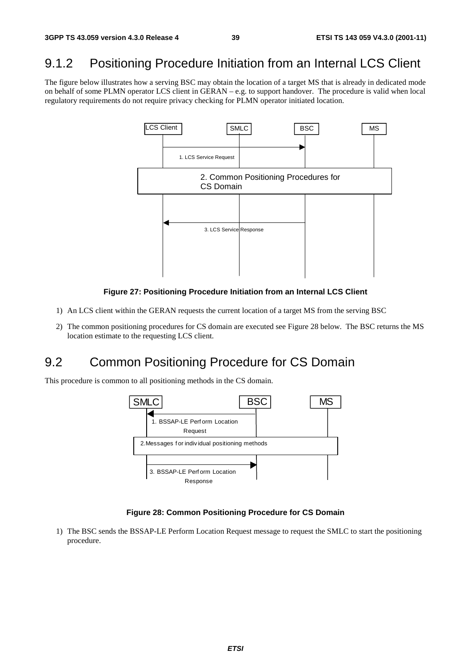## 9.1.2 Positioning Procedure Initiation from an Internal LCS Client

The figure below illustrates how a serving BSC may obtain the location of a target MS that is already in dedicated mode on behalf of some PLMN operator LCS client in GERAN – e.g. to support handover. The procedure is valid when local regulatory requirements do not require privacy checking for PLMN operator initiated location.



#### **Figure 27: Positioning Procedure Initiation from an Internal LCS Client**

- 1) An LCS client within the GERAN requests the current location of a target MS from the serving BSC
- 2) The common positioning procedures for CS domain are executed see Figure 28 below. The BSC returns the MS location estimate to the requesting LCS client.

## 9.2 Common Positioning Procedure for CS Domain

This procedure is common to all positioning methods in the CS domain.



#### **Figure 28: Common Positioning Procedure for CS Domain**

1) The BSC sends the BSSAP-LE Perform Location Request message to request the SMLC to start the positioning procedure.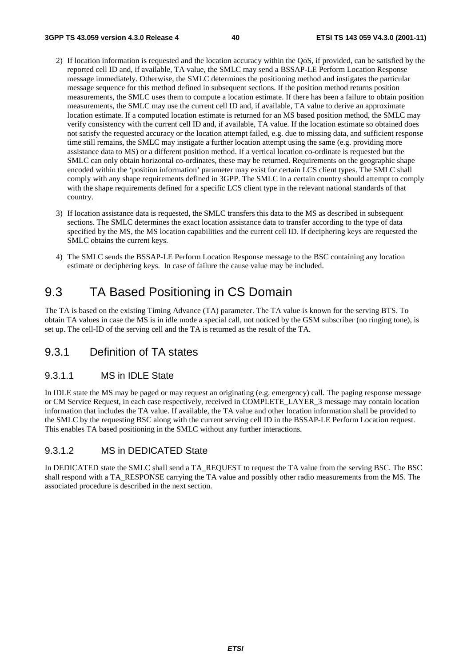- 2) If location information is requested and the location accuracy within the QoS, if provided, can be satisfied by the reported cell ID and, if available, TA value, the SMLC may send a BSSAP-LE Perform Location Response message immediately. Otherwise, the SMLC determines the positioning method and instigates the particular message sequence for this method defined in subsequent sections. If the position method returns position measurements, the SMLC uses them to compute a location estimate. If there has been a failure to obtain position measurements, the SMLC may use the current cell ID and, if available, TA value to derive an approximate location estimate. If a computed location estimate is returned for an MS based position method, the SMLC may verify consistency with the current cell ID and, if available, TA value. If the location estimate so obtained does not satisfy the requested accuracy or the location attempt failed, e.g. due to missing data, and sufficient response time still remains, the SMLC may instigate a further location attempt using the same (e.g. providing more assistance data to MS) or a different position method. If a vertical location co-ordinate is requested but the SMLC can only obtain horizontal co-ordinates, these may be returned. Requirements on the geographic shape encoded within the 'position information' parameter may exist for certain LCS client types. The SMLC shall comply with any shape requirements defined in 3GPP. The SMLC in a certain country should attempt to comply with the shape requirements defined for a specific LCS client type in the relevant national standards of that country.
- 3) If location assistance data is requested, the SMLC transfers this data to the MS as described in subsequent sections. The SMLC determines the exact location assistance data to transfer according to the type of data specified by the MS, the MS location capabilities and the current cell ID. If deciphering keys are requested the SMLC obtains the current keys.
- 4) The SMLC sends the BSSAP-LE Perform Location Response message to the BSC containing any location estimate or deciphering keys. In case of failure the cause value may be included.

## 9.3 TA Based Positioning in CS Domain

The TA is based on the existing Timing Advance (TA) parameter. The TA value is known for the serving BTS. To obtain TA values in case the MS is in idle mode a special call, not noticed by the GSM subscriber (no ringing tone), is set up. The cell-ID of the serving cell and the TA is returned as the result of the TA.

### 9.3.1 Definition of TA states

#### 9.3.1.1 MS in IDLE State

In IDLE state the MS may be paged or may request an originating (e.g. emergency) call. The paging response message or CM Service Request, in each case respectively, received in COMPLETE\_LAYER\_3 message may contain location information that includes the TA value. If available, the TA value and other location information shall be provided to the SMLC by the requesting BSC along with the current serving cell ID in the BSSAP-LE Perform Location request. This enables TA based positioning in the SMLC without any further interactions.

#### 9.3.1.2 MS in DEDICATED State

In DEDICATED state the SMLC shall send a TA\_REQUEST to request the TA value from the serving BSC. The BSC shall respond with a TA\_RESPONSE carrying the TA value and possibly other radio measurements from the MS. The associated procedure is described in the next section.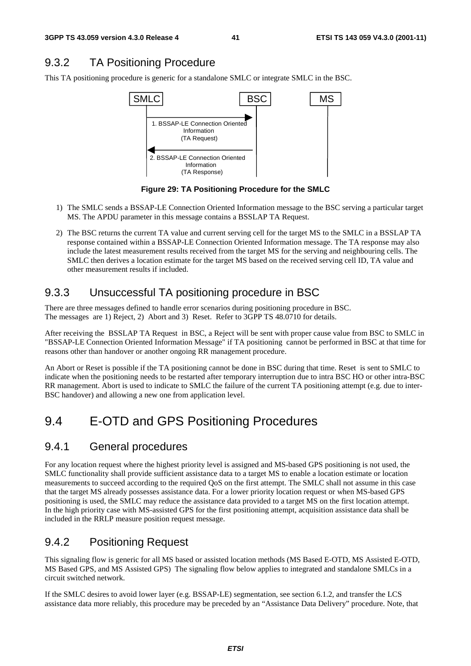## 9.3.2 TA Positioning Procedure

This TA positioning procedure is generic for a standalone SMLC or integrate SMLC in the BSC.



**Figure 29: TA Positioning Procedure for the SMLC** 

- 1) The SMLC sends a BSSAP-LE Connection Oriented Information message to the BSC serving a particular target MS. The APDU parameter in this message contains a BSSLAP TA Request.
- 2) The BSC returns the current TA value and current serving cell for the target MS to the SMLC in a BSSLAP TA response contained within a BSSAP-LE Connection Oriented Information message. The TA response may also include the latest measurement results received from the target MS for the serving and neighbouring cells. The SMLC then derives a location estimate for the target MS based on the received serving cell ID, TA value and other measurement results if included.

## 9.3.3 Unsuccessful TA positioning procedure in BSC

There are three messages defined to handle error scenarios during positioning procedure in BSC. The messages are 1) Reject, 2) Abort and 3) Reset. Refer to 3GPP TS 48.0710 for details.

After receiving the BSSLAP TA Request in BSC, a Reject will be sent with proper cause value from BSC to SMLC in "BSSAP-LE Connection Oriented Information Message" if TA positioning cannot be performed in BSC at that time for reasons other than handover or another ongoing RR management procedure.

An Abort or Reset is possible if the TA positioning cannot be done in BSC during that time. Reset is sent to SMLC to indicate when the positioning needs to be restarted after temporary interruption due to intra BSC HO or other intra-BSC RR management. Abort is used to indicate to SMLC the failure of the current TA positioning attempt (e.g. due to inter-BSC handover) and allowing a new one from application level.

## 9.4 E-OTD and GPS Positioning Procedures

### 9.4.1 General procedures

For any location request where the highest priority level is assigned and MS-based GPS positioning is not used, the SMLC functionality shall provide sufficient assistance data to a target MS to enable a location estimate or location measurements to succeed according to the required QoS on the first attempt. The SMLC shall not assume in this case that the target MS already possesses assistance data. For a lower priority location request or when MS-based GPS positioning is used, the SMLC may reduce the assistance data provided to a target MS on the first location attempt. In the high priority case with MS-assisted GPS for the first positioning attempt, acquisition assistance data shall be included in the RRLP measure position request message.

## 9.4.2 Positioning Request

This signaling flow is generic for all MS based or assisted location methods (MS Based E-OTD, MS Assisted E-OTD, MS Based GPS, and MS Assisted GPS) The signaling flow below applies to integrated and standalone SMLCs in a circuit switched network.

If the SMLC desires to avoid lower layer (e.g. BSSAP-LE) segmentation, see section 6.1.2, and transfer the LCS assistance data more reliably, this procedure may be preceded by an "Assistance Data Delivery" procedure. Note, that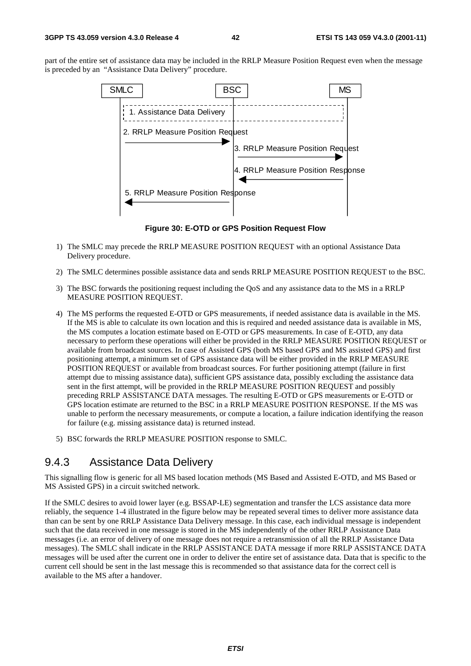part of the entire set of assistance data may be included in the RRLP Measure Position Request even when the message is preceded by an "Assistance Data Delivery" procedure.



**Figure 30: E-OTD or GPS Position Request Flow** 

- 1) The SMLC may precede the RRLP MEASURE POSITION REQUEST with an optional Assistance Data Delivery procedure.
- 2) The SMLC determines possible assistance data and sends RRLP MEASURE POSITION REQUEST to the BSC.
- 3) The BSC forwards the positioning request including the QoS and any assistance data to the MS in a RRLP MEASURE POSITION REQUEST.
- 4) The MS performs the requested E-OTD or GPS measurements, if needed assistance data is available in the MS. If the MS is able to calculate its own location and this is required and needed assistance data is available in MS, the MS computes a location estimate based on E-OTD or GPS measurements. In case of E-OTD, any data necessary to perform these operations will either be provided in the RRLP MEASURE POSITION REQUEST or available from broadcast sources. In case of Assisted GPS (both MS based GPS and MS assisted GPS) and first positioning attempt, a minimum set of GPS assistance data will be either provided in the RRLP MEASURE POSITION REQUEST or available from broadcast sources. For further positioning attempt (failure in first attempt due to missing assistance data), sufficient GPS assistance data, possibly excluding the assistance data sent in the first attempt, will be provided in the RRLP MEASURE POSITION REQUEST and possibly preceding RRLP ASSISTANCE DATA messages. The resulting E-OTD or GPS measurements or E-OTD or GPS location estimate are returned to the BSC in a RRLP MEASURE POSITION RESPONSE. If the MS was unable to perform the necessary measurements, or compute a location, a failure indication identifying the reason for failure (e.g. missing assistance data) is returned instead.
- 5) BSC forwards the RRLP MEASURE POSITION response to SMLC.

### 9.4.3 Assistance Data Delivery

This signalling flow is generic for all MS based location methods (MS Based and Assisted E-OTD, and MS Based or MS Assisted GPS) in a circuit switched network.

If the SMLC desires to avoid lower layer (e.g. BSSAP-LE) segmentation and transfer the LCS assistance data more reliably, the sequence 1-4 illustrated in the figure below may be repeated several times to deliver more assistance data than can be sent by one RRLP Assistance Data Delivery message. In this case, each individual message is independent such that the data received in one message is stored in the MS independently of the other RRLP Assistance Data messages (i.e. an error of delivery of one message does not require a retransmission of all the RRLP Assistance Data messages). The SMLC shall indicate in the RRLP ASSISTANCE DATA message if more RRLP ASSISTANCE DATA messages will be used after the current one in order to deliver the entire set of assistance data. Data that is specific to the current cell should be sent in the last message this is recommended so that assistance data for the correct cell is available to the MS after a handover.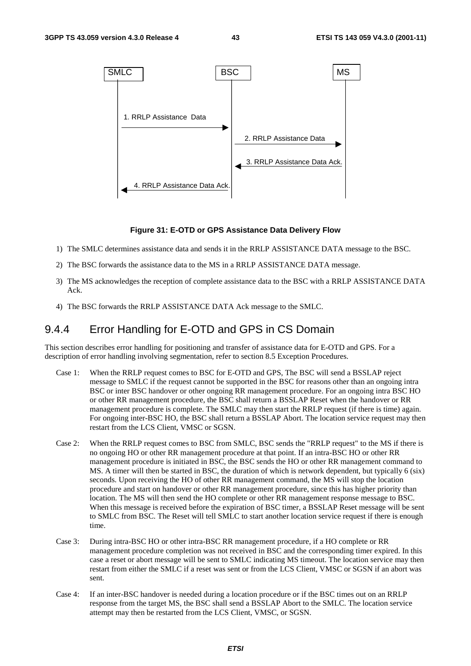

#### **Figure 31: E-OTD or GPS Assistance Data Delivery Flow**

- 1) The SMLC determines assistance data and sends it in the RRLP ASSISTANCE DATA message to the BSC.
- 2) The BSC forwards the assistance data to the MS in a RRLP ASSISTANCE DATA message.
- 3) The MS acknowledges the reception of complete assistance data to the BSC with a RRLP ASSISTANCE DATA Ack.
- 4) The BSC forwards the RRLP ASSISTANCE DATA Ack message to the SMLC.

### 9.4.4 Error Handling for E-OTD and GPS in CS Domain

This section describes error handling for positioning and transfer of assistance data for E-OTD and GPS. For a description of error handling involving segmentation, refer to section 8.5 Exception Procedures.

- Case 1: When the RRLP request comes to BSC for E-OTD and GPS, The BSC will send a BSSLAP reject message to SMLC if the request cannot be supported in the BSC for reasons other than an ongoing intra BSC or inter BSC handover or other ongoing RR management procedure. For an ongoing intra BSC HO or other RR management procedure, the BSC shall return a BSSLAP Reset when the handover or RR management procedure is complete. The SMLC may then start the RRLP request (if there is time) again. For ongoing inter-BSC HO, the BSC shall return a BSSLAP Abort. The location service request may then restart from the LCS Client, VMSC or SGSN.
- Case 2: When the RRLP request comes to BSC from SMLC, BSC sends the "RRLP request" to the MS if there is no ongoing HO or other RR management procedure at that point. If an intra-BSC HO or other RR management procedure is initiated in BSC, the BSC sends the HO or other RR management command to MS. A timer will then be started in BSC, the duration of which is network dependent, but typically 6 (six) seconds. Upon receiving the HO of other RR management command, the MS will stop the location procedure and start on handover or other RR management procedure, since this has higher priority than location. The MS will then send the HO complete or other RR management response message to BSC. When this message is received before the expiration of BSC timer, a BSSLAP Reset message will be sent to SMLC from BSC. The Reset will tell SMLC to start another location service request if there is enough time.
- Case 3: During intra-BSC HO or other intra-BSC RR management procedure, if a HO complete or RR management procedure completion was not received in BSC and the corresponding timer expired. In this case a reset or abort message will be sent to SMLC indicating MS timeout. The location service may then restart from either the SMLC if a reset was sent or from the LCS Client, VMSC or SGSN if an abort was sent.
- Case 4: If an inter-BSC handover is needed during a location procedure or if the BSC times out on an RRLP response from the target MS, the BSC shall send a BSSLAP Abort to the SMLC. The location service attempt may then be restarted from the LCS Client, VMSC, or SGSN.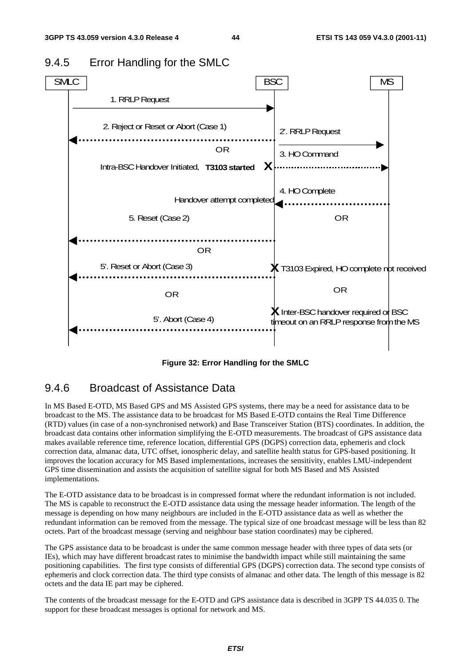

### 9.4.5 Error Handling for the SMLC

**Figure 32: Error Handling for the SMLC** 

### 9.4.6 Broadcast of Assistance Data

In MS Based E-OTD, MS Based GPS and MS Assisted GPS systems, there may be a need for assistance data to be broadcast to the MS. The assistance data to be broadcast for MS Based E-OTD contains the Real Time Difference (RTD) values (in case of a non-synchronised network) and Base Transceiver Station (BTS) coordinates. In addition, the broadcast data contains other information simplifying the E-OTD measurements. The broadcast of GPS assistance data makes available reference time, reference location, differential GPS (DGPS) correction data, ephemeris and clock correction data, almanac data, UTC offset, ionospheric delay, and satellite health status for GPS-based positioning. It improves the location accuracy for MS Based implementations, increases the sensitivity, enables LMU-independent GPS time dissemination and assists the acquisition of satellite signal for both MS Based and MS Assisted implementations.

The E-OTD assistance data to be broadcast is in compressed format where the redundant information is not included. The MS is capable to reconstruct the E-OTD assistance data using the message header information. The length of the message is depending on how many neighbours are included in the E-OTD assistance data as well as whether the redundant information can be removed from the message. The typical size of one broadcast message will be less than 82 octets. Part of the broadcast message (serving and neighbour base station coordinates) may be ciphered.

The GPS assistance data to be broadcast is under the same common message header with three types of data sets (or IEs), which may have different broadcast rates to minimise the bandwidth impact while still maintaining the same positioning capabilities. The first type consists of differential GPS (DGPS) correction data. The second type consists of ephemeris and clock correction data. The third type consists of almanac and other data. The length of this message is 82 octets and the data IE part may be ciphered.

The contents of the broadcast message for the E-OTD and GPS assistance data is described in 3GPP TS 44.035 0. The support for these broadcast messages is optional for network and MS.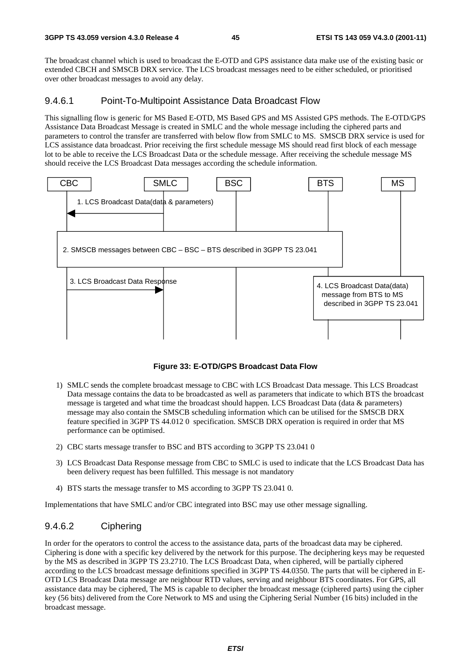The broadcast channel which is used to broadcast the E-OTD and GPS assistance data make use of the existing basic or extended CBCH and SMSCB DRX service. The LCS broadcast messages need to be either scheduled, or prioritised over other broadcast messages to avoid any delay.

#### 9.4.6.1 Point-To-Multipoint Assistance Data Broadcast Flow

This signalling flow is generic for MS Based E-OTD, MS Based GPS and MS Assisted GPS methods. The E-OTD/GPS Assistance Data Broadcast Message is created in SMLC and the whole message including the ciphered parts and parameters to control the transfer are transferred with below flow from SMLC to MS. SMSCB DRX service is used for LCS assistance data broadcast. Prior receiving the first schedule message MS should read first block of each message lot to be able to receive the LCS Broadcast Data or the schedule message. After receiving the schedule message MS should receive the LCS Broadcast Data messages according the schedule information.



**Figure 33: E-OTD/GPS Broadcast Data Flow** 

- 1) SMLC sends the complete broadcast message to CBC with LCS Broadcast Data message. This LCS Broadcast Data message contains the data to be broadcasted as well as parameters that indicate to which BTS the broadcast message is targeted and what time the broadcast should happen. LCS Broadcast Data (data & parameters) message may also contain the SMSCB scheduling information which can be utilised for the SMSCB DRX feature specified in 3GPP TS 44.012 0 specification. SMSCB DRX operation is required in order that MS performance can be optimised.
- 2) CBC starts message transfer to BSC and BTS according to 3GPP TS 23.041 0
- 3) LCS Broadcast Data Response message from CBC to SMLC is used to indicate that the LCS Broadcast Data has been delivery request has been fulfilled. This message is not mandatory
- 4) BTS starts the message transfer to MS according to 3GPP TS 23.041 0.

Implementations that have SMLC and/or CBC integrated into BSC may use other message signalling.

#### 9.4.6.2 Ciphering

In order for the operators to control the access to the assistance data, parts of the broadcast data may be ciphered. Ciphering is done with a specific key delivered by the network for this purpose. The deciphering keys may be requested by the MS as described in 3GPP TS 23.2710. The LCS Broadcast Data, when ciphered, will be partially ciphered according to the LCS broadcast message definitions specified in 3GPP TS 44.0350. The parts that will be ciphered in E-OTD LCS Broadcast Data message are neighbour RTD values, serving and neighbour BTS coordinates. For GPS, all assistance data may be ciphered, The MS is capable to decipher the broadcast message (ciphered parts) using the cipher key (56 bits) delivered from the Core Network to MS and using the Ciphering Serial Number (16 bits) included in the broadcast message.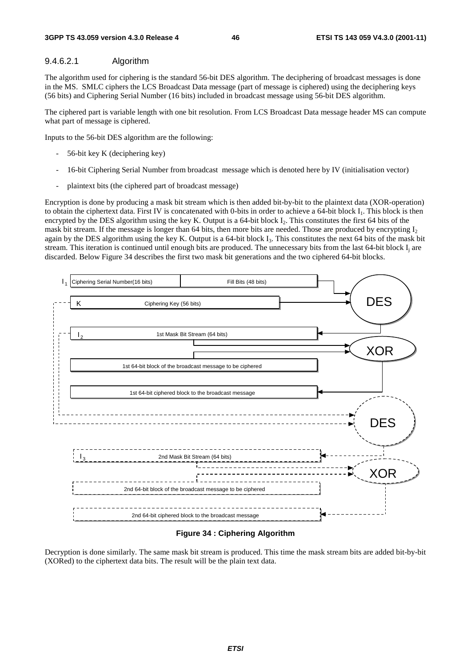#### 9.4.6.2.1 Algorithm

The algorithm used for ciphering is the standard 56-bit DES algorithm. The deciphering of broadcast messages is done in the MS. SMLC ciphers the LCS Broadcast Data message (part of message is ciphered) using the deciphering keys (56 bits) and Ciphering Serial Number (16 bits) included in broadcast message using 56-bit DES algorithm.

The ciphered part is variable length with one bit resolution. From LCS Broadcast Data message header MS can compute what part of message is ciphered.

Inputs to the 56-bit DES algorithm are the following:

- 56-bit key K (deciphering key)
- 16-bit Ciphering Serial Number from broadcast message which is denoted here by IV (initialisation vector)
- plaintext bits (the ciphered part of broadcast message)

Encryption is done by producing a mask bit stream which is then added bit-by-bit to the plaintext data (XOR-operation) to obtain the ciphertext data. First IV is concatenated with 0-bits in order to achieve a 64-bit block I<sub>1</sub>. This block is then encrypted by the DES algorithm using the key K. Output is a 64-bit block I<sub>2</sub>. This constitutes the first 64 bits of the mask bit stream. If the message is longer than 64 bits, then more bits are needed. Those are produced by encrypting  $I_2$ again by the DES algorithm using the key K. Output is a 64-bit block  $I_3$ . This constitutes the next 64 bits of the mask bit stream. This iteration is continued until enough bits are produced. The unnecessary bits from the last 64-bit block I<sub>i</sub> are discarded. Below Figure 34 describes the first two mask bit generations and the two ciphered 64-bit blocks.



#### **Figure 34 : Ciphering Algorithm**

Decryption is done similarly. The same mask bit stream is produced. This time the mask stream bits are added bit-by-bit (XORed) to the ciphertext data bits. The result will be the plain text data.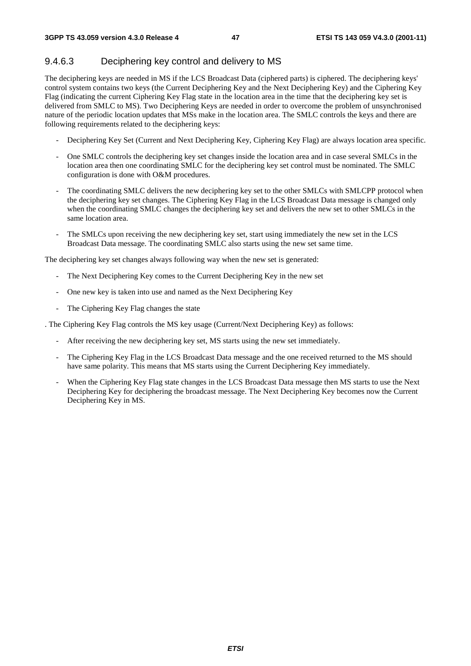### 9.4.6.3 Deciphering key control and delivery to MS

The deciphering keys are needed in MS if the LCS Broadcast Data (ciphered parts) is ciphered. The deciphering keys' control system contains two keys (the Current Deciphering Key and the Next Deciphering Key) and the Ciphering Key Flag (indicating the current Ciphering Key Flag state in the location area in the time that the deciphering key set is delivered from SMLC to MS). Two Deciphering Keys are needed in order to overcome the problem of unsynchronised nature of the periodic location updates that MSs make in the location area. The SMLC controls the keys and there are following requirements related to the deciphering keys:

- Deciphering Key Set (Current and Next Deciphering Key, Ciphering Key Flag) are always location area specific.
- One SMLC controls the deciphering key set changes inside the location area and in case several SMLCs in the location area then one coordinating SMLC for the deciphering key set control must be nominated. The SMLC configuration is done with O&M procedures.
- The coordinating SMLC delivers the new deciphering key set to the other SMLCs with SMLCPP protocol when the deciphering key set changes. The Ciphering Key Flag in the LCS Broadcast Data message is changed only when the coordinating SMLC changes the deciphering key set and delivers the new set to other SMLCs in the same location area.
- The SMLCs upon receiving the new deciphering key set, start using immediately the new set in the LCS Broadcast Data message. The coordinating SMLC also starts using the new set same time.

The deciphering key set changes always following way when the new set is generated:

- The Next Deciphering Key comes to the Current Deciphering Key in the new set
- One new key is taken into use and named as the Next Deciphering Key
- The Ciphering Key Flag changes the state

. The Ciphering Key Flag controls the MS key usage (Current/Next Deciphering Key) as follows:

- After receiving the new deciphering key set, MS starts using the new set immediately.
- The Ciphering Key Flag in the LCS Broadcast Data message and the one received returned to the MS should have same polarity. This means that MS starts using the Current Deciphering Key immediately.
- When the Ciphering Key Flag state changes in the LCS Broadcast Data message then MS starts to use the Next Deciphering Key for deciphering the broadcast message. The Next Deciphering Key becomes now the Current Deciphering Key in MS.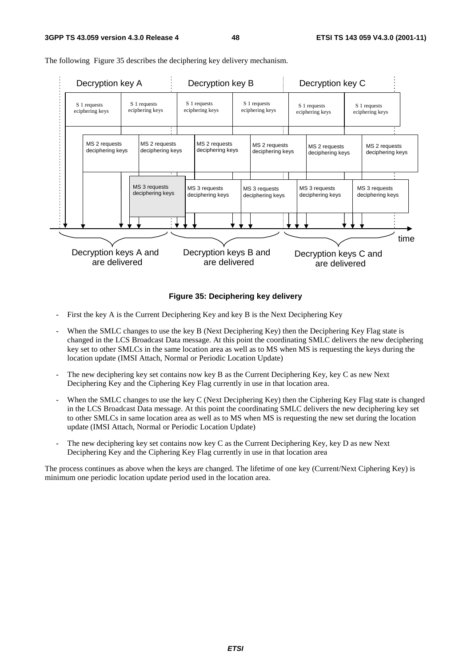

The following Figure 35 describes the deciphering key delivery mechanism.

#### **Figure 35: Deciphering key delivery**

- First the key A is the Current Deciphering Key and key B is the Next Deciphering Key
- When the SMLC changes to use the key B (Next Deciphering Key) then the Deciphering Key Flag state is changed in the LCS Broadcast Data message. At this point the coordinating SMLC delivers the new deciphering key set to other SMLCs in the same location area as well as to MS when MS is requesting the keys during the location update (IMSI Attach, Normal or Periodic Location Update)
- The new deciphering key set contains now key B as the Current Deciphering Key, key C as new Next Deciphering Key and the Ciphering Key Flag currently in use in that location area.
- When the SMLC changes to use the key C (Next Deciphering Key) then the Ciphering Key Flag state is changed in the LCS Broadcast Data message. At this point the coordinating SMLC delivers the new deciphering key set to other SMLCs in same location area as well as to MS when MS is requesting the new set during the location update (IMSI Attach, Normal or Periodic Location Update)
- The new deciphering key set contains now key C as the Current Deciphering Key, key D as new Next Deciphering Key and the Ciphering Key Flag currently in use in that location area

The process continues as above when the keys are changed. The lifetime of one key (Current/Next Ciphering Key) is minimum one periodic location update period used in the location area.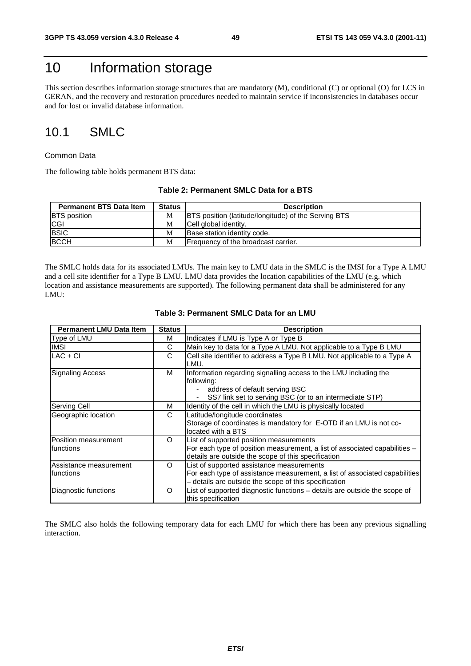## 10 Information storage

This section describes information storage structures that are mandatory (M), conditional (C) or optional (O) for LCS in GERAN, and the recovery and restoration procedures needed to maintain service if inconsistencies in databases occur and for lost or invalid database information.

### 10.1 SMLC

#### Common Data

The following table holds permanent BTS data:

#### **Table 2: Permanent SMLC Data for a BTS**

| <b>Permanent BTS Data Item</b> | <b>Status</b> | <b>Description</b>                                          |
|--------------------------------|---------------|-------------------------------------------------------------|
| <b>BTS</b> position            | М             | <b>BTS</b> position (latitude/longitude) of the Serving BTS |
| <b>CGI</b>                     | М             | Cell global identity.                                       |
| <b>BSIC</b>                    | М             | Base station identity code.                                 |
| <b>BCCH</b>                    | M             | Frequency of the broadcast carrier.                         |

The SMLC holds data for its associated LMUs. The main key to LMU data in the SMLC is the IMSI for a Type A LMU and a cell site identifier for a Type B LMU. LMU data provides the location capabilities of the LMU (e.g. which location and assistance measurements are supported). The following permanent data shall be administered for any LMU:

| <b>Permanent LMU Data Item</b>      | <b>Status</b> | <b>Description</b>                                                                                                                                                               |
|-------------------------------------|---------------|----------------------------------------------------------------------------------------------------------------------------------------------------------------------------------|
| Type of LMU                         | М             | Indicates if LMU is Type A or Type B                                                                                                                                             |
| <b>IMSI</b>                         | С             | Main key to data for a Type A LMU. Not applicable to a Type B LMU                                                                                                                |
| $LAC + CI$                          | C             | Cell site identifier to address a Type B LMU. Not applicable to a Type A<br>LMU.                                                                                                 |
| <b>Signaling Access</b>             | М             | Information regarding signalling access to the LMU including the<br>following:<br>address of default serving BSC<br>SS7 link set to serving BSC (or to an intermediate STP)      |
| Serving Cell                        | м             | Identity of the cell in which the LMU is physically located                                                                                                                      |
| Geographic location                 | C             | Latitude/longitude coordinates<br>Storage of coordinates is mandatory for E-OTD if an LMU is not co-<br>located with a BTS                                                       |
| Position measurement<br>Ifunctions  | O             | List of supported position measurements<br>For each type of position measurement, a list of associated capabilities -<br>details are outside the scope of this specification     |
| Assistance measurement<br>functions | O             | List of supported assistance measurements<br>For each type of assistance measurement, a list of associated capabilities<br>- details are outside the scope of this specification |
| Diagnostic functions                | O             | List of supported diagnostic functions - details are outside the scope of<br>this specification                                                                                  |

#### **Table 3: Permanent SMLC Data for an LMU**

The SMLC also holds the following temporary data for each LMU for which there has been any previous signalling interaction.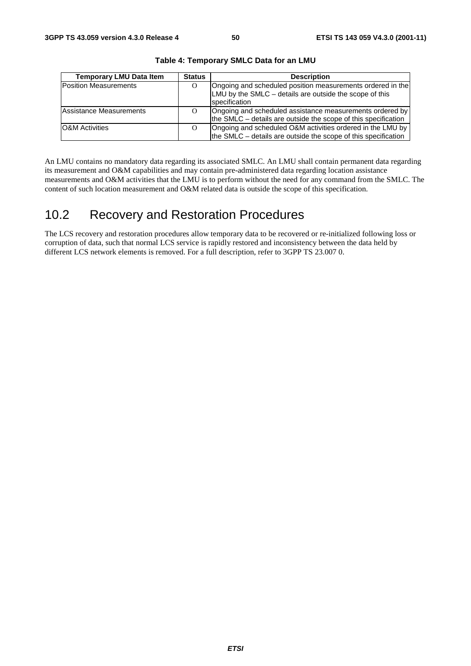| <b>Temporary LMU Data Item</b> | <b>Status</b> | <b>Description</b>                                                                                                                     |
|--------------------------------|---------------|----------------------------------------------------------------------------------------------------------------------------------------|
| <b>Position Measurements</b>   | $\Omega$      | Ongoing and scheduled position measurements ordered in the<br>LMU by the SMLC - details are outside the scope of this<br>specification |
| Assistance Measurements        | $\Omega$      | Ongoing and scheduled assistance measurements ordered by<br>the SMLC $-$ details are outside the scope of this specification           |
| <b>O&amp;M</b> Activities      | $\Omega$      | Ongoing and scheduled O&M activities ordered in the LMU by<br>the SMLC – details are outside the scope of this specification           |

**Table 4: Temporary SMLC Data for an LMU** 

An LMU contains no mandatory data regarding its associated SMLC. An LMU shall contain permanent data regarding its measurement and O&M capabilities and may contain pre-administered data regarding location assistance measurements and O&M activities that the LMU is to perform without the need for any command from the SMLC. The content of such location measurement and O&M related data is outside the scope of this specification.

### 10.2 Recovery and Restoration Procedures

The LCS recovery and restoration procedures allow temporary data to be recovered or re-initialized following loss or corruption of data, such that normal LCS service is rapidly restored and inconsistency between the data held by different LCS network elements is removed. For a full description, refer to 3GPP TS 23.007 0.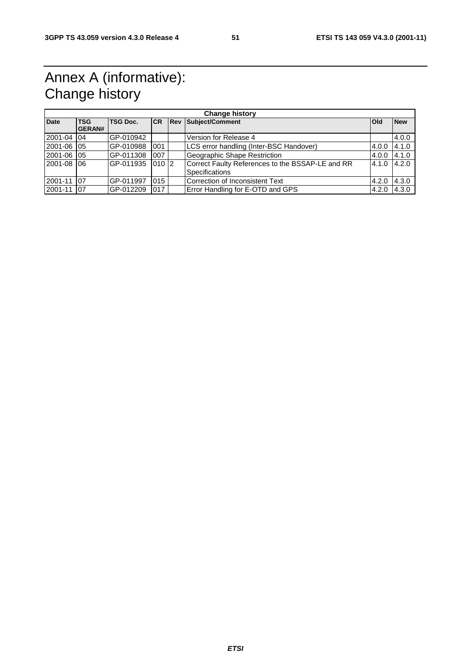## Annex A (informative): Change history

| <b>Change history</b> |                             |            |            |  |                                                                    |            |            |
|-----------------------|-----------------------------|------------|------------|--|--------------------------------------------------------------------|------------|------------|
| <b>Date</b>           | <b>TSG</b><br><b>GERAN#</b> | TSG Doc.   | <b>ICR</b> |  | <b>Rev Subject/Comment</b>                                         | <b>Old</b> | <b>New</b> |
| 2001-04               | $\sqrt{04}$                 | IGP-010942 |            |  | Version for Release 4                                              |            | 4.0.0      |
| 2001-06 05            |                             | IGP-010988 | 001        |  | LCS error handling (Inter-BSC Handover)                            | 4.0.0      | 4.1.0      |
| 2001-06 05            |                             | GP-011308  | 007        |  | Geographic Shape Restriction                                       | 4.0.0      | 4.1.0      |
| 2001-08 06            |                             | GP-011935  | $010$  2   |  | Correct Faulty References to the BSSAP-LE and RR<br>Specifications | 4.1.0      | 4.2.0      |
| 2001-11               | 07                          | IGP-011997 | 015        |  | lCorrection of Inconsistent Text                                   | 4.2.0      | 4.3.0      |
| 2001-11               | 07                          | GP-012209  | 017        |  | Error Handling for E-OTD and GPS                                   | 4.2.0      | 4.3.0      |